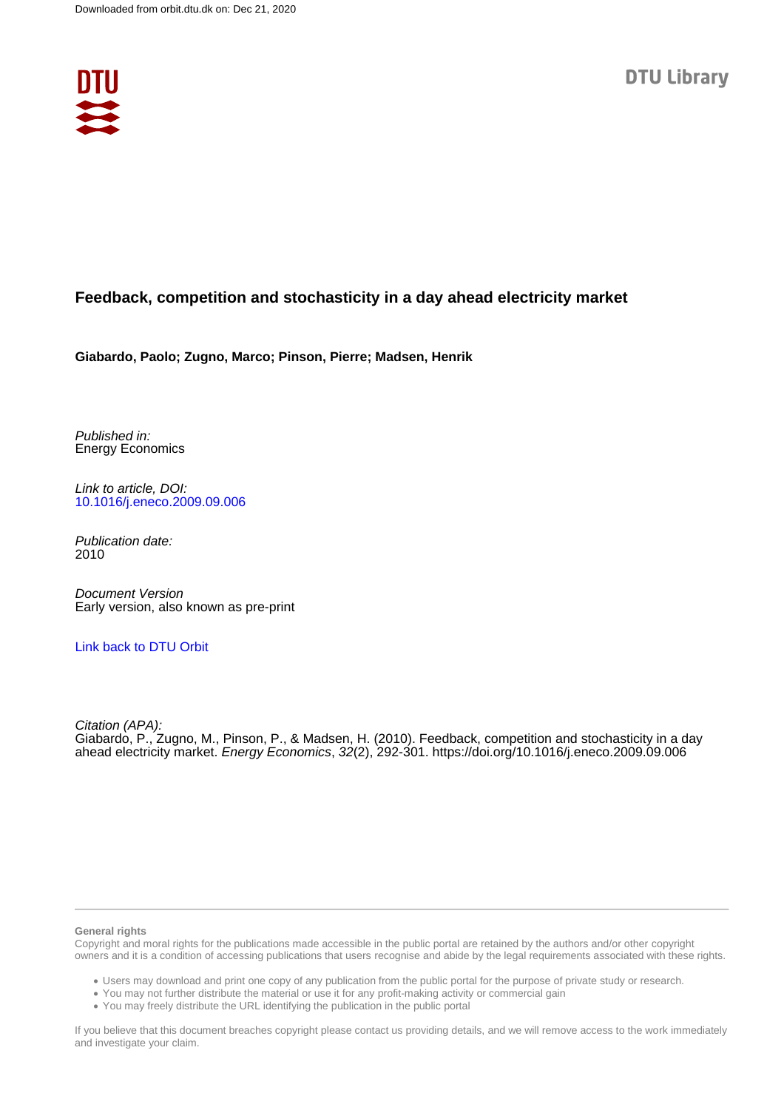

## **Feedback, competition and stochasticity in a day ahead electricity market**

**Giabardo, Paolo; Zugno, Marco; Pinson, Pierre; Madsen, Henrik**

Published in: Energy Economics

Link to article, DOI: [10.1016/j.eneco.2009.09.006](https://doi.org/10.1016/j.eneco.2009.09.006)

Publication date: 2010

Document Version Early version, also known as pre-print

## [Link back to DTU Orbit](https://orbit.dtu.dk/en/publications/4fa59ed7-50e5-4f47-87a9-2a9010608afa)

Citation (APA): Giabardo, P., Zugno, M., Pinson, P., & Madsen, H. (2010). Feedback, competition and stochasticity in a day ahead electricity market. Energy Economics, 32(2), 292-301.<https://doi.org/10.1016/j.eneco.2009.09.006>

#### **General rights**

Copyright and moral rights for the publications made accessible in the public portal are retained by the authors and/or other copyright owners and it is a condition of accessing publications that users recognise and abide by the legal requirements associated with these rights.

Users may download and print one copy of any publication from the public portal for the purpose of private study or research.

- You may not further distribute the material or use it for any profit-making activity or commercial gain
- You may freely distribute the URL identifying the publication in the public portal

If you believe that this document breaches copyright please contact us providing details, and we will remove access to the work immediately and investigate your claim.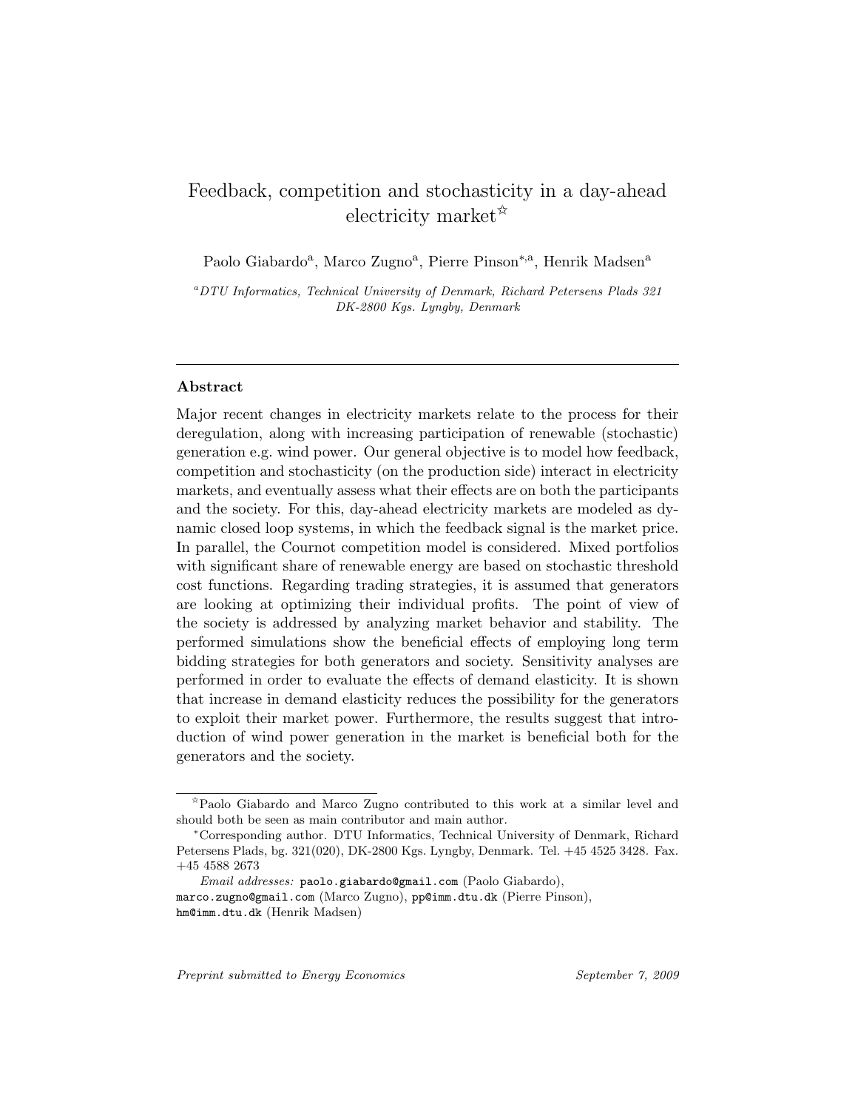# Feedback, competition and stochasticity in a day-ahead electricity market<sup> $\hat{\mathbf{x}}$ </sup>

Paolo Giabardo<sup>a</sup>, Marco Zugno<sup>a</sup>, Pierre Pinson<sup>\*,a</sup>, Henrik Madsen<sup>a</sup>

<sup>a</sup>DTU Informatics, Technical University of Denmark, Richard Petersens Plads 321 DK-2800 Kgs. Lyngby, Denmark

#### Abstract

Major recent changes in electricity markets relate to the process for their deregulation, along with increasing participation of renewable (stochastic) generation e.g. wind power. Our general objective is to model how feedback, competition and stochasticity (on the production side) interact in electricity markets, and eventually assess what their effects are on both the participants and the society. For this, day-ahead electricity markets are modeled as dynamic closed loop systems, in which the feedback signal is the market price. In parallel, the Cournot competition model is considered. Mixed portfolios with significant share of renewable energy are based on stochastic threshold cost functions. Regarding trading strategies, it is assumed that generators are looking at optimizing their individual profits. The point of view of the society is addressed by analyzing market behavior and stability. The performed simulations show the beneficial effects of employing long term bidding strategies for both generators and society. Sensitivity analyses are performed in order to evaluate the effects of demand elasticity. It is shown that increase in demand elasticity reduces the possibility for the generators to exploit their market power. Furthermore, the results suggest that introduction of wind power generation in the market is beneficial both for the generators and the society.

<sup>✩</sup>Paolo Giabardo and Marco Zugno contributed to this work at a similar level and should both be seen as main contributor and main author.

<sup>∗</sup>Corresponding author. DTU Informatics, Technical University of Denmark, Richard Petersens Plads, bg. 321(020), DK-2800 Kgs. Lyngby, Denmark. Tel. +45 4525 3428. Fax. +45 4588 2673

Email addresses: paolo.giabardo@gmail.com (Paolo Giabardo), marco.zugno@gmail.com (Marco Zugno), pp@imm.dtu.dk (Pierre Pinson), hm@imm.dtu.dk (Henrik Madsen)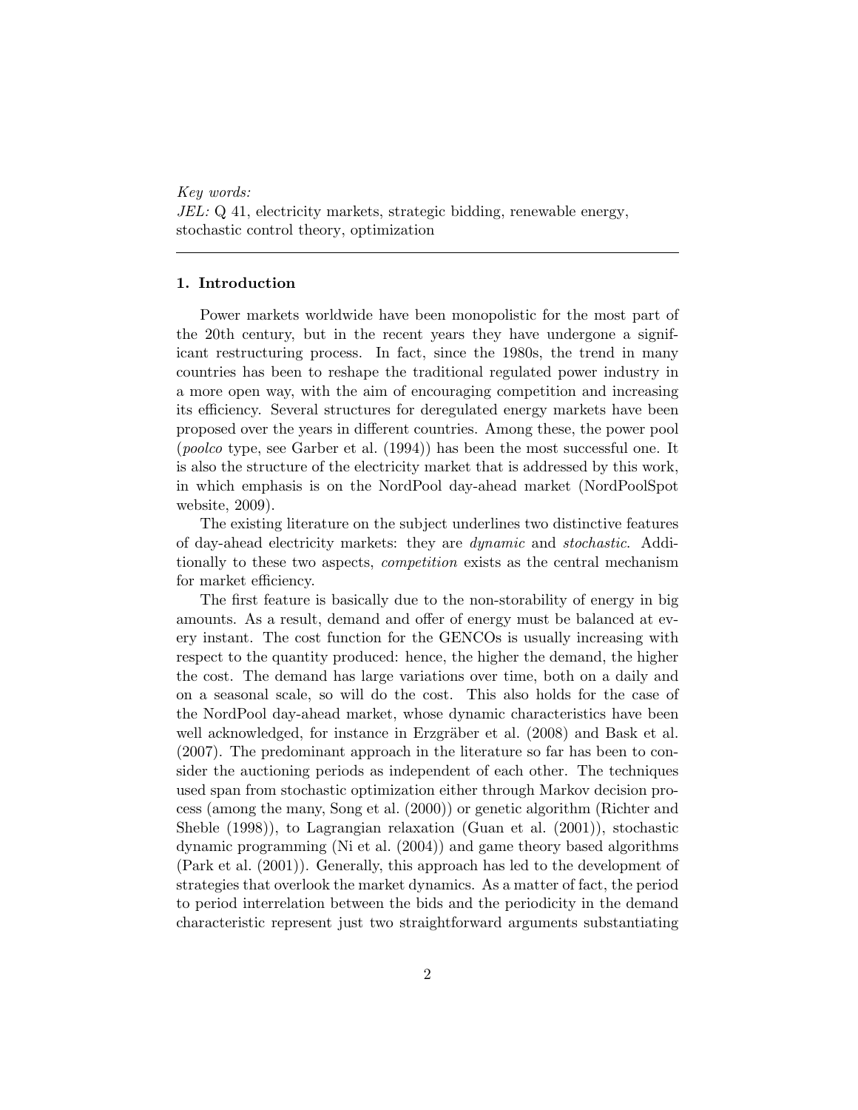## Key words:

JEL: Q 41, electricity markets, strategic bidding, renewable energy, stochastic control theory, optimization

#### 1. Introduction

Power markets worldwide have been monopolistic for the most part of the 20th century, but in the recent years they have undergone a significant restructuring process. In fact, since the 1980s, the trend in many countries has been to reshape the traditional regulated power industry in a more open way, with the aim of encouraging competition and increasing its efficiency. Several structures for deregulated energy markets have been proposed over the years in different countries. Among these, the power pool (poolco type, see Garber et al. (1994)) has been the most successful one. It is also the structure of the electricity market that is addressed by this work, in which emphasis is on the NordPool day-ahead market (NordPoolSpot website, 2009).

The existing literature on the subject underlines two distinctive features of day-ahead electricity markets: they are dynamic and stochastic. Additionally to these two aspects, *competition* exists as the central mechanism for market efficiency.

The first feature is basically due to the non-storability of energy in big amounts. As a result, demand and offer of energy must be balanced at every instant. The cost function for the GENCOs is usually increasing with respect to the quantity produced: hence, the higher the demand, the higher the cost. The demand has large variations over time, both on a daily and on a seasonal scale, so will do the cost. This also holds for the case of the NordPool day-ahead market, whose dynamic characteristics have been well acknowledged, for instance in Erzgräber et al. (2008) and Bask et al. (2007). The predominant approach in the literature so far has been to consider the auctioning periods as independent of each other. The techniques used span from stochastic optimization either through Markov decision process (among the many, Song et al. (2000)) or genetic algorithm (Richter and Sheble (1998)), to Lagrangian relaxation (Guan et al. (2001)), stochastic dynamic programming (Ni et al. (2004)) and game theory based algorithms (Park et al. (2001)). Generally, this approach has led to the development of strategies that overlook the market dynamics. As a matter of fact, the period to period interrelation between the bids and the periodicity in the demand characteristic represent just two straightforward arguments substantiating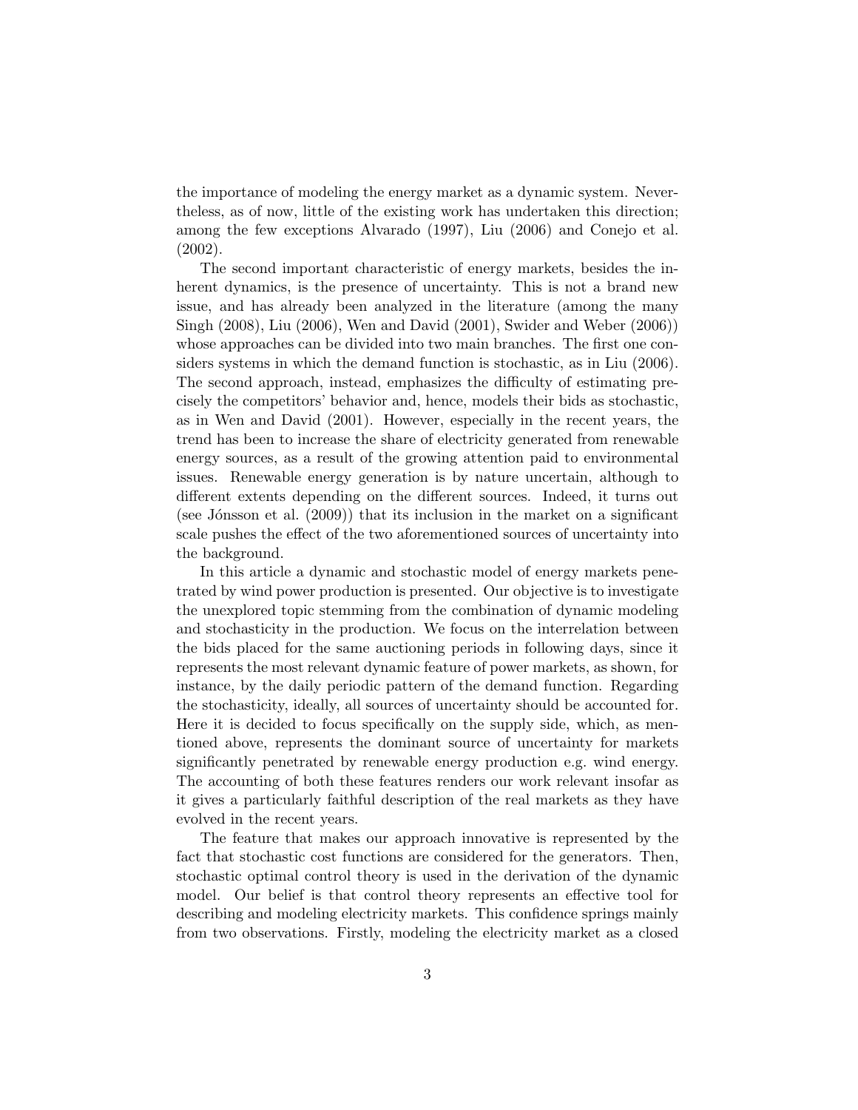the importance of modeling the energy market as a dynamic system. Nevertheless, as of now, little of the existing work has undertaken this direction; among the few exceptions Alvarado (1997), Liu (2006) and Conejo et al. (2002).

The second important characteristic of energy markets, besides the inherent dynamics, is the presence of uncertainty. This is not a brand new issue, and has already been analyzed in the literature (among the many Singh (2008), Liu (2006), Wen and David (2001), Swider and Weber (2006)) whose approaches can be divided into two main branches. The first one considers systems in which the demand function is stochastic, as in Liu (2006). The second approach, instead, emphasizes the difficulty of estimating precisely the competitors' behavior and, hence, models their bids as stochastic, as in Wen and David (2001). However, especially in the recent years, the trend has been to increase the share of electricity generated from renewable energy sources, as a result of the growing attention paid to environmental issues. Renewable energy generation is by nature uncertain, although to different extents depending on the different sources. Indeed, it turns out (see Jónsson et al.  $(2009)$ ) that its inclusion in the market on a significant scale pushes the effect of the two aforementioned sources of uncertainty into the background.

In this article a dynamic and stochastic model of energy markets penetrated by wind power production is presented. Our objective is to investigate the unexplored topic stemming from the combination of dynamic modeling and stochasticity in the production. We focus on the interrelation between the bids placed for the same auctioning periods in following days, since it represents the most relevant dynamic feature of power markets, as shown, for instance, by the daily periodic pattern of the demand function. Regarding the stochasticity, ideally, all sources of uncertainty should be accounted for. Here it is decided to focus specifically on the supply side, which, as mentioned above, represents the dominant source of uncertainty for markets significantly penetrated by renewable energy production e.g. wind energy. The accounting of both these features renders our work relevant insofar as it gives a particularly faithful description of the real markets as they have evolved in the recent years.

The feature that makes our approach innovative is represented by the fact that stochastic cost functions are considered for the generators. Then, stochastic optimal control theory is used in the derivation of the dynamic model. Our belief is that control theory represents an effective tool for describing and modeling electricity markets. This confidence springs mainly from two observations. Firstly, modeling the electricity market as a closed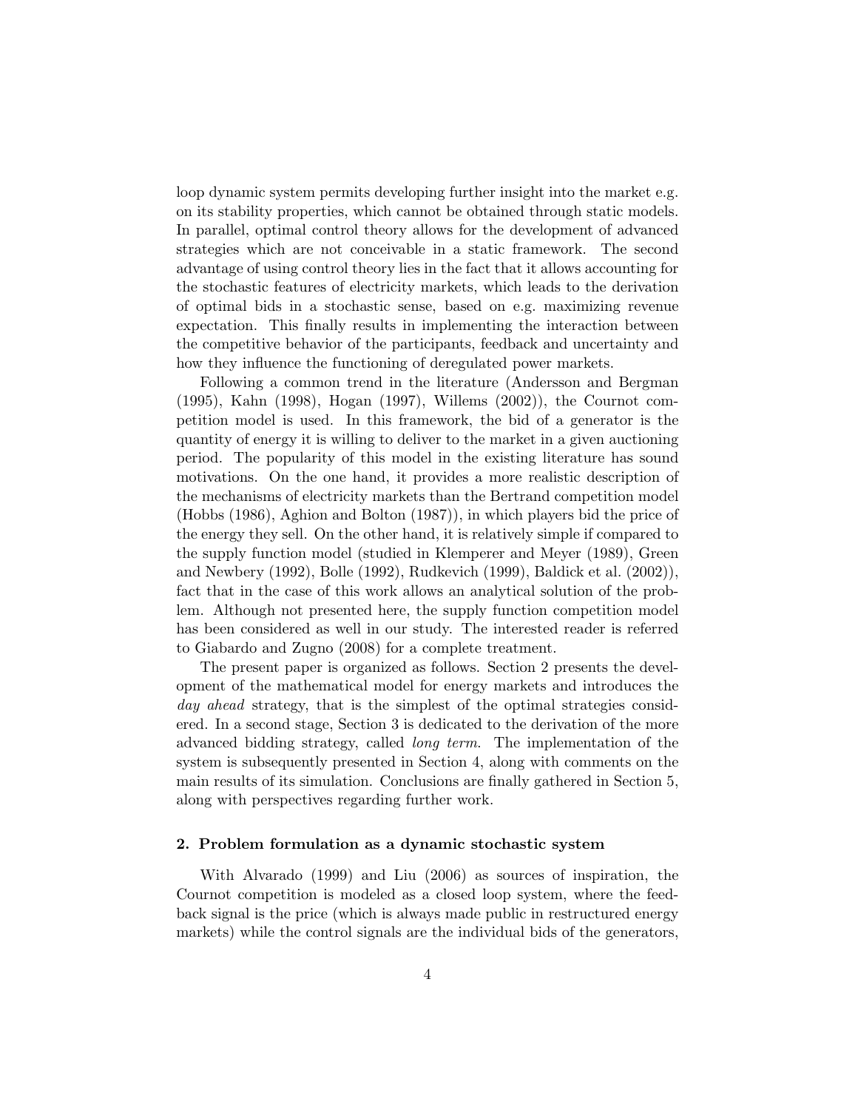loop dynamic system permits developing further insight into the market e.g. on its stability properties, which cannot be obtained through static models. In parallel, optimal control theory allows for the development of advanced strategies which are not conceivable in a static framework. The second advantage of using control theory lies in the fact that it allows accounting for the stochastic features of electricity markets, which leads to the derivation of optimal bids in a stochastic sense, based on e.g. maximizing revenue expectation. This finally results in implementing the interaction between the competitive behavior of the participants, feedback and uncertainty and how they influence the functioning of deregulated power markets.

Following a common trend in the literature (Andersson and Bergman (1995), Kahn (1998), Hogan (1997), Willems (2002)), the Cournot competition model is used. In this framework, the bid of a generator is the quantity of energy it is willing to deliver to the market in a given auctioning period. The popularity of this model in the existing literature has sound motivations. On the one hand, it provides a more realistic description of the mechanisms of electricity markets than the Bertrand competition model (Hobbs (1986), Aghion and Bolton (1987)), in which players bid the price of the energy they sell. On the other hand, it is relatively simple if compared to the supply function model (studied in Klemperer and Meyer (1989), Green and Newbery (1992), Bolle (1992), Rudkevich (1999), Baldick et al. (2002)), fact that in the case of this work allows an analytical solution of the problem. Although not presented here, the supply function competition model has been considered as well in our study. The interested reader is referred to Giabardo and Zugno (2008) for a complete treatment.

The present paper is organized as follows. Section 2 presents the development of the mathematical model for energy markets and introduces the day ahead strategy, that is the simplest of the optimal strategies considered. In a second stage, Section 3 is dedicated to the derivation of the more advanced bidding strategy, called long term. The implementation of the system is subsequently presented in Section 4, along with comments on the main results of its simulation. Conclusions are finally gathered in Section 5, along with perspectives regarding further work.

#### 2. Problem formulation as a dynamic stochastic system

With Alvarado (1999) and Liu (2006) as sources of inspiration, the Cournot competition is modeled as a closed loop system, where the feedback signal is the price (which is always made public in restructured energy markets) while the control signals are the individual bids of the generators,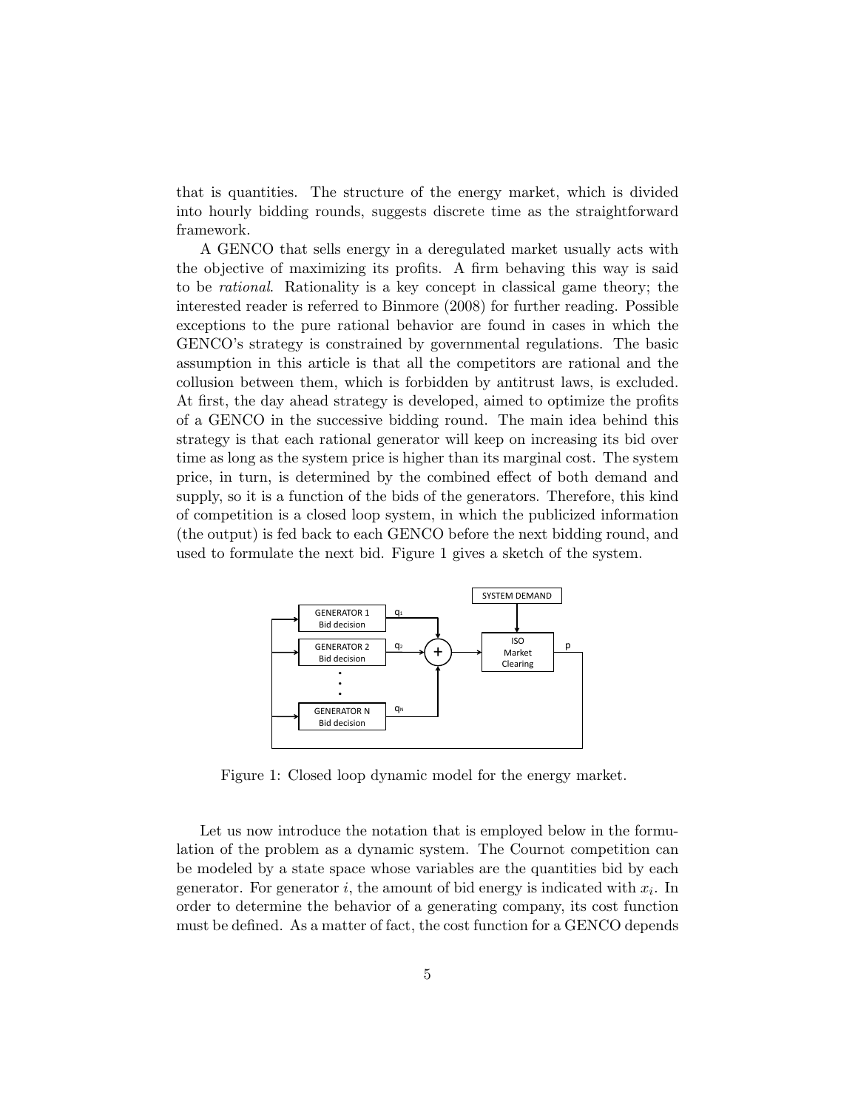that is quantities. The structure of the energy market, which is divided into hourly bidding rounds, suggests discrete time as the straightforward framework.

A GENCO that sells energy in a deregulated market usually acts with the objective of maximizing its profits. A firm behaving this way is said to be rational. Rationality is a key concept in classical game theory; the interested reader is referred to Binmore (2008) for further reading. Possible exceptions to the pure rational behavior are found in cases in which the GENCO's strategy is constrained by governmental regulations. The basic assumption in this article is that all the competitors are rational and the collusion between them, which is forbidden by antitrust laws, is excluded. At first, the day ahead strategy is developed, aimed to optimize the profits of a GENCO in the successive bidding round. The main idea behind this strategy is that each rational generator will keep on increasing its bid over time as long as the system price is higher than its marginal cost. The system price, in turn, is determined by the combined effect of both demand and supply, so it is a function of the bids of the generators. Therefore, this kind of competition is a closed loop system, in which the publicized information (the output) is fed back to each GENCO before the next bidding round, and used to formulate the next bid. Figure 1 gives a sketch of the system.



Figure 1: Closed loop dynamic model for the energy market.

Let us now introduce the notation that is employed below in the formulation of the problem as a dynamic system. The Cournot competition can be modeled by a state space whose variables are the quantities bid by each generator. For generator  $i$ , the amount of bid energy is indicated with  $x_i$ . In order to determine the behavior of a generating company, its cost function must be defined. As a matter of fact, the cost function for a GENCO depends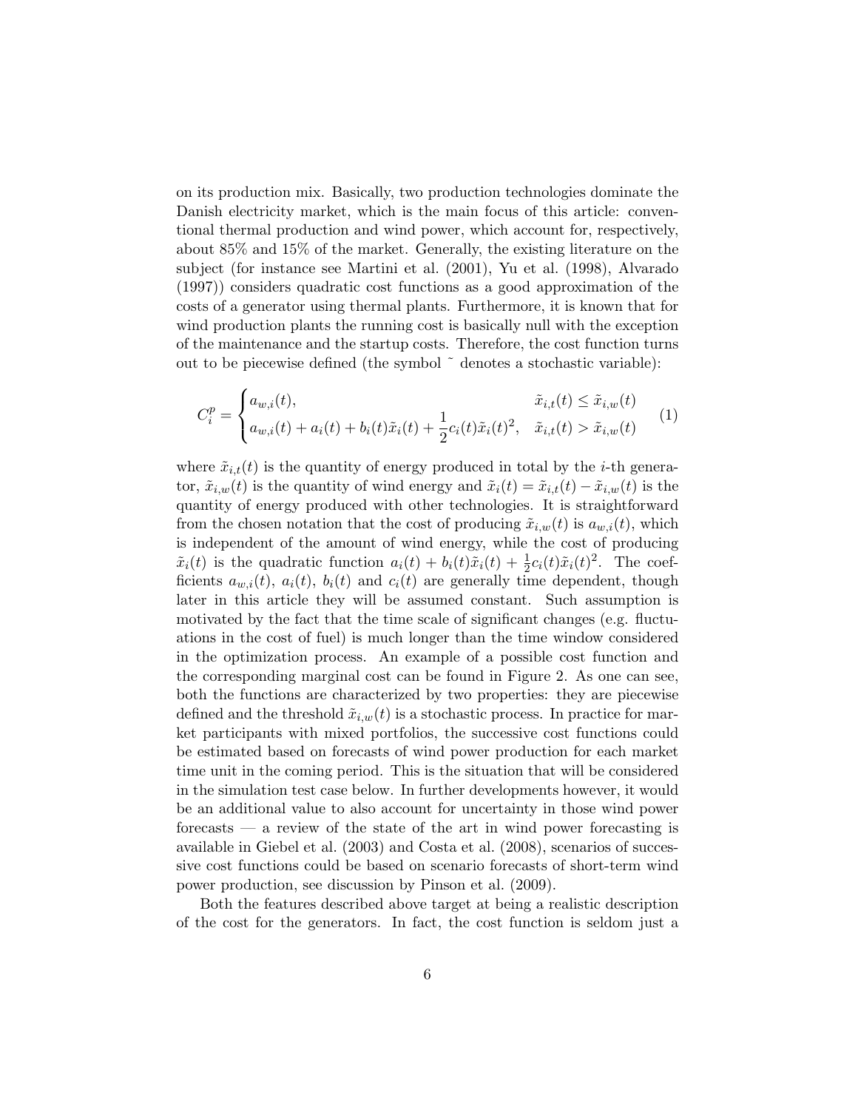on its production mix. Basically, two production technologies dominate the Danish electricity market, which is the main focus of this article: conventional thermal production and wind power, which account for, respectively, about 85% and 15% of the market. Generally, the existing literature on the subject (for instance see Martini et al. (2001), Yu et al. (1998), Alvarado (1997)) considers quadratic cost functions as a good approximation of the costs of a generator using thermal plants. Furthermore, it is known that for wind production plants the running cost is basically null with the exception of the maintenance and the startup costs. Therefore, the cost function turns out to be piecewise defined (the symbol ˜ denotes a stochastic variable):

$$
C_i^p = \begin{cases} a_{w,i}(t), & \tilde{x}_{i,t}(t) \le \tilde{x}_{i,w}(t) \\ a_{w,i}(t) + a_i(t) + b_i(t)\tilde{x}_i(t) + \frac{1}{2}c_i(t)\tilde{x}_i(t)^2, & \tilde{x}_{i,t}(t) > \tilde{x}_{i,w}(t) \end{cases}
$$
(1)

where  $\tilde{x}_{i,t}(t)$  is the quantity of energy produced in total by the *i*-th generator,  $\tilde{x}_{i,w}(t)$  is the quantity of wind energy and  $\tilde{x}_i(t) = \tilde{x}_{i,t}(t) - \tilde{x}_{i,w}(t)$  is the quantity of energy produced with other technologies. It is straightforward from the chosen notation that the cost of producing  $\tilde{x}_{i,w}(t)$  is  $a_{w,i}(t)$ , which is independent of the amount of wind energy, while the cost of producing  $\tilde{x}_i(t)$  is the quadratic function  $a_i(t) + b_i(t)\tilde{x}_i(t) + \frac{1}{2}c_i(t)\tilde{x}_i(t)^2$ . The coefficients  $a_{w,i}(t)$ ,  $a_i(t)$ ,  $b_i(t)$  and  $c_i(t)$  are generally time dependent, though later in this article they will be assumed constant. Such assumption is motivated by the fact that the time scale of significant changes (e.g. fluctuations in the cost of fuel) is much longer than the time window considered in the optimization process. An example of a possible cost function and the corresponding marginal cost can be found in Figure 2. As one can see, both the functions are characterized by two properties: they are piecewise defined and the threshold  $\tilde{x}_{i,w}(t)$  is a stochastic process. In practice for market participants with mixed portfolios, the successive cost functions could be estimated based on forecasts of wind power production for each market time unit in the coming period. This is the situation that will be considered in the simulation test case below. In further developments however, it would be an additional value to also account for uncertainty in those wind power forecasts — a review of the state of the art in wind power forecasting is available in Giebel et al. (2003) and Costa et al. (2008), scenarios of successive cost functions could be based on scenario forecasts of short-term wind power production, see discussion by Pinson et al. (2009).

Both the features described above target at being a realistic description of the cost for the generators. In fact, the cost function is seldom just a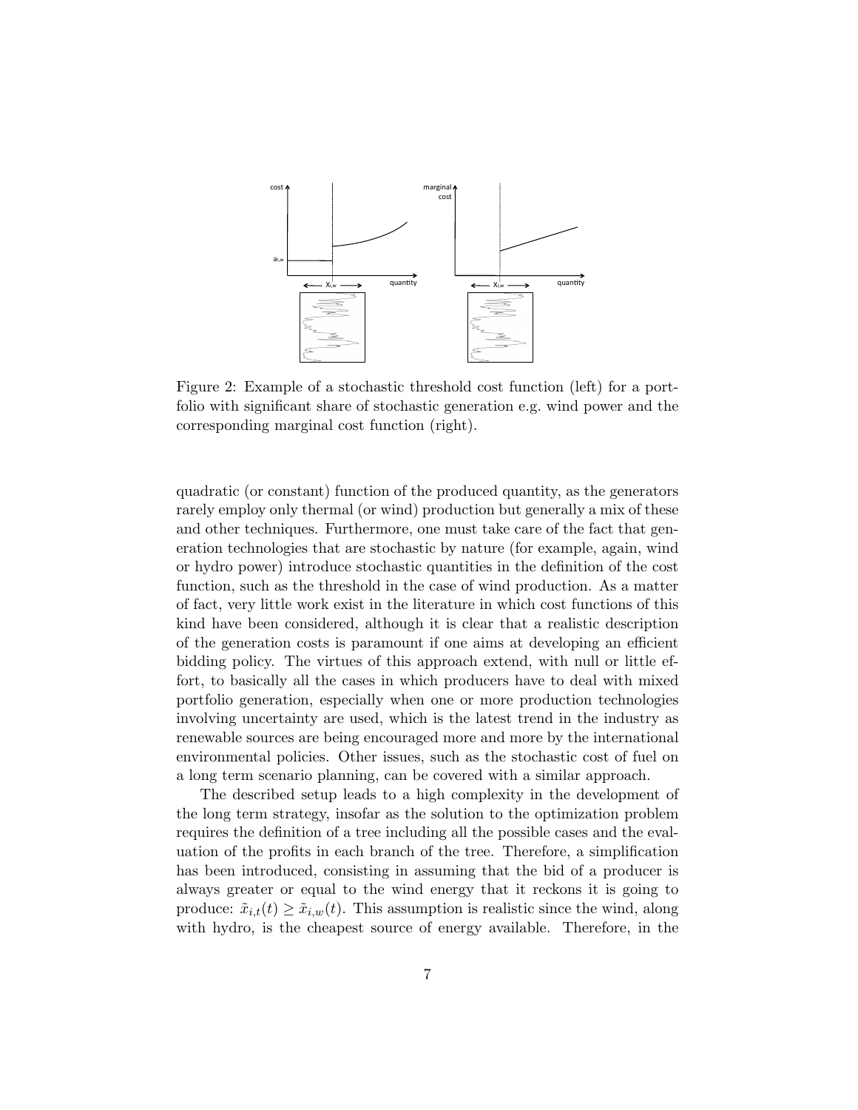

Figure 2: Example of a stochastic threshold cost function (left) for a portfolio with significant share of stochastic generation e.g. wind power and the corresponding marginal cost function (right).

quadratic (or constant) function of the produced quantity, as the generators rarely employ only thermal (or wind) production but generally a mix of these and other techniques. Furthermore, one must take care of the fact that generation technologies that are stochastic by nature (for example, again, wind or hydro power) introduce stochastic quantities in the definition of the cost function, such as the threshold in the case of wind production. As a matter of fact, very little work exist in the literature in which cost functions of this kind have been considered, although it is clear that a realistic description of the generation costs is paramount if one aims at developing an efficient bidding policy. The virtues of this approach extend, with null or little effort, to basically all the cases in which producers have to deal with mixed portfolio generation, especially when one or more production technologies involving uncertainty are used, which is the latest trend in the industry as renewable sources are being encouraged more and more by the international environmental policies. Other issues, such as the stochastic cost of fuel on a long term scenario planning, can be covered with a similar approach.

The described setup leads to a high complexity in the development of the long term strategy, insofar as the solution to the optimization problem requires the definition of a tree including all the possible cases and the evaluation of the profits in each branch of the tree. Therefore, a simplification has been introduced, consisting in assuming that the bid of a producer is always greater or equal to the wind energy that it reckons it is going to produce:  $\tilde{x}_{i,t}(t) \geq \tilde{x}_{i,w}(t)$ . This assumption is realistic since the wind, along with hydro, is the cheapest source of energy available. Therefore, in the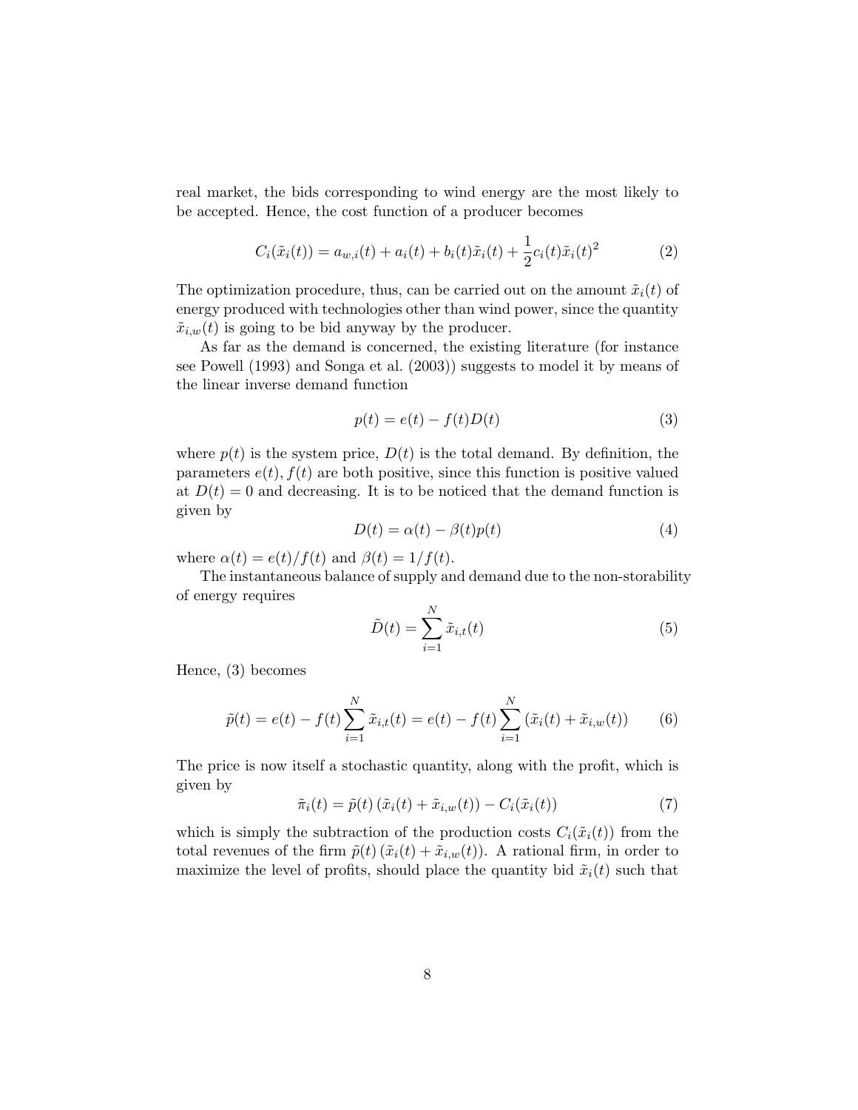real market, the bids corresponding to wind energy are the most likely to be accepted. Hence, the cost function of a producer becomes

$$
C_i(\tilde{x}_i(t)) = a_{w,i}(t) + a_i(t) + b_i(t)\tilde{x}_i(t) + \frac{1}{2}c_i(t)\tilde{x}_i(t)^2
$$
\n(2)

The optimization procedure, thus, can be carried out on the amount  $\tilde{x}_i(t)$  of energy produced with technologies other than wind power, since the quantity  $\tilde{x}_{i,w}(t)$  is going to be bid anyway by the producer.

As far as the demand is concerned, the existing literature (for instance see Powell (1993) and Songa et al. (2003)) suggests to model it by means of the linear inverse demand function

$$
p(t) = e(t) - f(t)D(t)
$$
\n(3)

where  $p(t)$  is the system price,  $D(t)$  is the total demand. By definition, the parameters  $e(t)$ ,  $f(t)$  are both positive, since this function is positive valued at  $D(t) = 0$  and decreasing. It is to be noticed that the demand function is given by

$$
D(t) = \alpha(t) - \beta(t)p(t)
$$
\n(4)

where  $\alpha(t) = e(t)/f(t)$  and  $\beta(t) = 1/f(t)$ .

The instantaneous balance of supply and demand due to the non-storability of energy requires

$$
\tilde{D}(t) = \sum_{i=1}^{N} \tilde{x}_{i,t}(t)
$$
\n(5)

Hence, (3) becomes

$$
\tilde{p}(t) = e(t) - f(t) \sum_{i=1}^{N} \tilde{x}_{i,t}(t) = e(t) - f(t) \sum_{i=1}^{N} (\tilde{x}_i(t) + \tilde{x}_{i,w}(t))
$$
(6)

The price is now itself a stochastic quantity, along with the profit, which is given by

$$
\tilde{\pi}_i(t) = \tilde{p}(t) \left( \tilde{x}_i(t) + \tilde{x}_{i,w}(t) \right) - C_i(\tilde{x}_i(t)) \tag{7}
$$

which is simply the subtraction of the production costs  $C_i(\tilde{x}_i(t))$  from the total revenues of the firm  $\tilde{p}(t)$   $(\tilde{x}_i(t) + \tilde{x}_{i,w}(t))$ . A rational firm, in order to maximize the level of profits, should place the quantity bid  $\tilde{x}_i(t)$  such that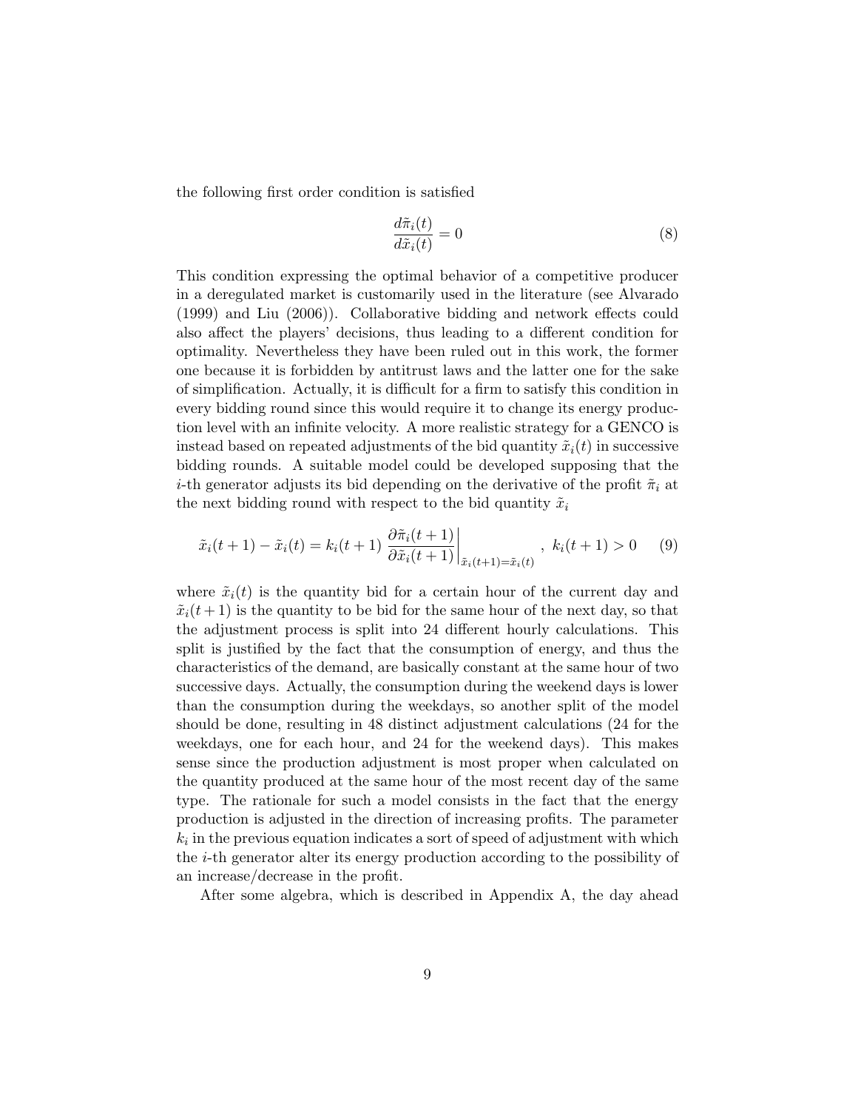the following first order condition is satisfied

$$
\frac{d\tilde{\pi}_i(t)}{d\tilde{x}_i(t)} = 0\tag{8}
$$

This condition expressing the optimal behavior of a competitive producer in a deregulated market is customarily used in the literature (see Alvarado (1999) and Liu (2006)). Collaborative bidding and network effects could also affect the players' decisions, thus leading to a different condition for optimality. Nevertheless they have been ruled out in this work, the former one because it is forbidden by antitrust laws and the latter one for the sake of simplification. Actually, it is difficult for a firm to satisfy this condition in every bidding round since this would require it to change its energy production level with an infinite velocity. A more realistic strategy for a GENCO is instead based on repeated adjustments of the bid quantity  $\tilde{x}_i(t)$  in successive bidding rounds. A suitable model could be developed supposing that the *i*-th generator adjusts its bid depending on the derivative of the profit  $\tilde{\pi}_i$  at the next bidding round with respect to the bid quantity  $\tilde{x}_i$ 

$$
\tilde{x}_i(t+1) - \tilde{x}_i(t) = k_i(t+1) \left. \frac{\partial \tilde{\pi}_i(t+1)}{\partial \tilde{x}_i(t+1)} \right|_{\tilde{x}_i(t+1) = \tilde{x}_i(t)}, \ k_i(t+1) > 0 \tag{9}
$$

where  $\tilde{x}_i(t)$  is the quantity bid for a certain hour of the current day and  $\tilde{x}_i(t+1)$  is the quantity to be bid for the same hour of the next day, so that the adjustment process is split into 24 different hourly calculations. This split is justified by the fact that the consumption of energy, and thus the characteristics of the demand, are basically constant at the same hour of two successive days. Actually, the consumption during the weekend days is lower than the consumption during the weekdays, so another split of the model should be done, resulting in 48 distinct adjustment calculations (24 for the weekdays, one for each hour, and 24 for the weekend days). This makes sense since the production adjustment is most proper when calculated on the quantity produced at the same hour of the most recent day of the same type. The rationale for such a model consists in the fact that the energy production is adjusted in the direction of increasing profits. The parameter  $k_i$  in the previous equation indicates a sort of speed of adjustment with which the i-th generator alter its energy production according to the possibility of an increase/decrease in the profit.

After some algebra, which is described in Appendix A, the day ahead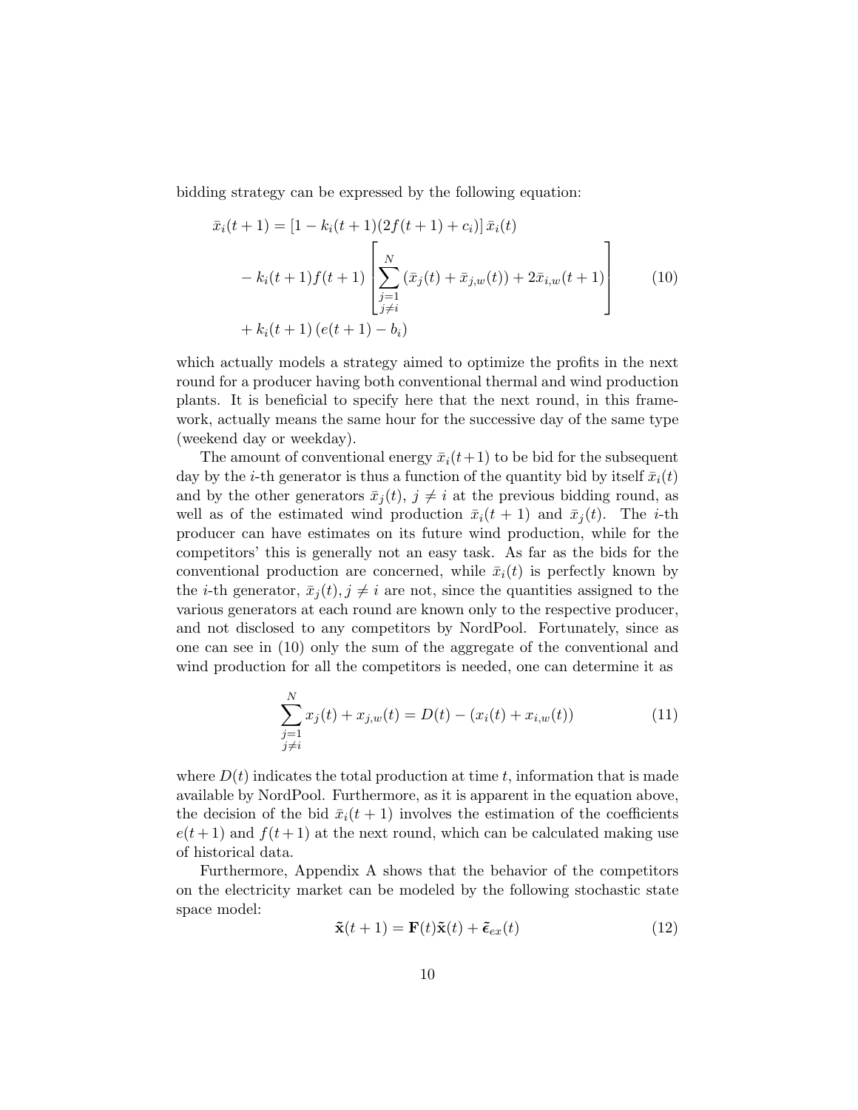bidding strategy can be expressed by the following equation:

$$
\bar{x}_i(t+1) = [1 - k_i(t+1)(2f(t+1) + c_i)] \bar{x}_i(t)
$$
  
\n
$$
- k_i(t+1)f(t+1) \left[ \sum_{\substack{j=1 \ j \neq i}}^N (\bar{x}_j(t) + \bar{x}_{j,w}(t)) + 2\bar{x}_{i,w}(t+1) \right]
$$
(10)  
\n
$$
+ k_i(t+1) (e(t+1) - b_i)
$$

which actually models a strategy aimed to optimize the profits in the next round for a producer having both conventional thermal and wind production plants. It is beneficial to specify here that the next round, in this framework, actually means the same hour for the successive day of the same type (weekend day or weekday).

The amount of conventional energy  $\bar{x}_i(t+1)$  to be bid for the subsequent day by the *i*-th generator is thus a function of the quantity bid by itself  $\bar{x}_i(t)$ and by the other generators  $\bar{x}_j(t)$ ,  $j \neq i$  at the previous bidding round, as well as of the estimated wind production  $\bar{x}_i(t + 1)$  and  $\bar{x}_j(t)$ . The *i*-th producer can have estimates on its future wind production, while for the competitors' this is generally not an easy task. As far as the bids for the conventional production are concerned, while  $\bar{x}_i(t)$  is perfectly known by the *i*-th generator,  $\bar{x}_j(t), j \neq i$  are not, since the quantities assigned to the various generators at each round are known only to the respective producer, and not disclosed to any competitors by NordPool. Fortunately, since as one can see in (10) only the sum of the aggregate of the conventional and wind production for all the competitors is needed, one can determine it as

$$
\sum_{\substack{j=1 \ j \neq i}}^{N} x_j(t) + x_{j,w}(t) = D(t) - (x_i(t) + x_{i,w}(t))
$$
\n(11)

where  $D(t)$  indicates the total production at time t, information that is made available by NordPool. Furthermore, as it is apparent in the equation above, the decision of the bid  $\bar{x}_i(t+1)$  involves the estimation of the coefficients  $e(t+1)$  and  $f(t+1)$  at the next round, which can be calculated making use of historical data.

Furthermore, Appendix A shows that the behavior of the competitors on the electricity market can be modeled by the following stochastic state space model:

$$
\tilde{\mathbf{x}}(t+1) = \mathbf{F}(t)\tilde{\mathbf{x}}(t) + \tilde{\epsilon}_{ex}(t)
$$
\n(12)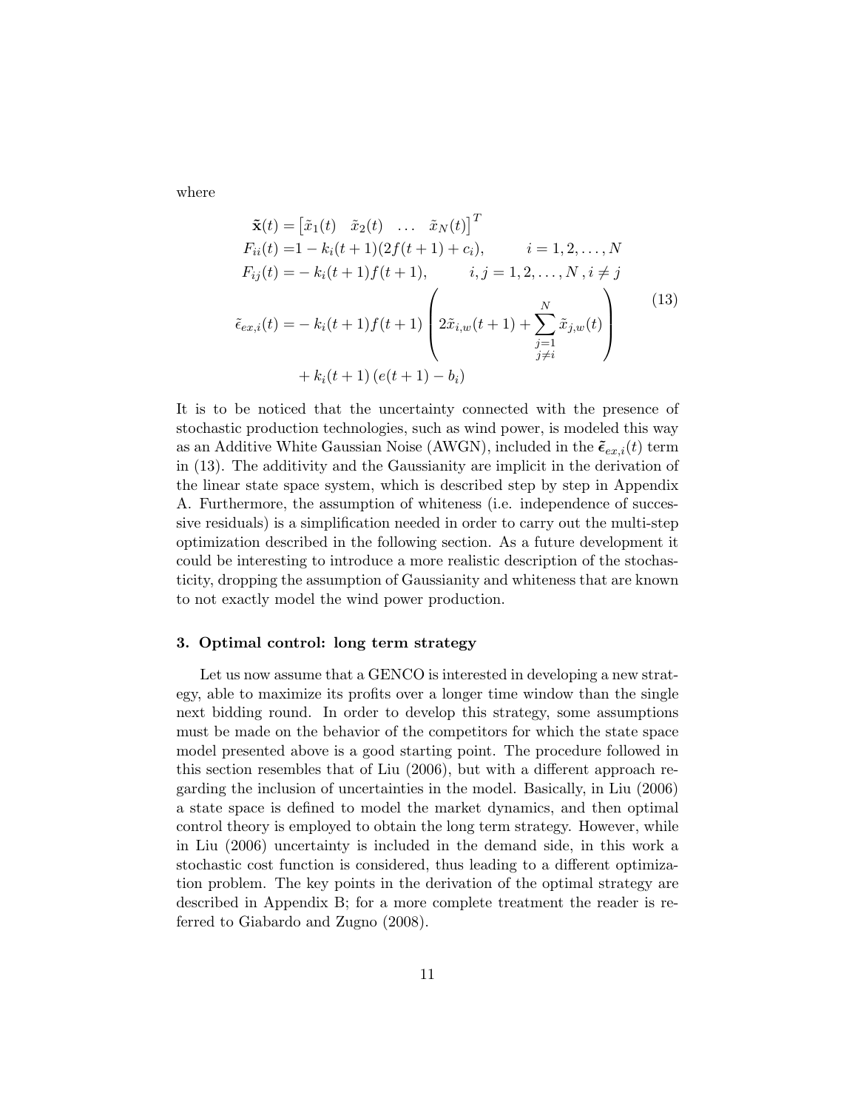where

$$
\tilde{\mathbf{x}}(t) = [\tilde{x}_1(t) \quad \tilde{x}_2(t) \quad \dots \quad \tilde{x}_N(t)]^T
$$
\n
$$
F_{ii}(t) = 1 - k_i(t+1)(2f(t+1) + c_i), \qquad i = 1, 2, \dots, N
$$
\n
$$
F_{ij}(t) = -k_i(t+1)f(t+1), \qquad i, j = 1, 2, \dots, N, i \neq j
$$
\n
$$
\tilde{\epsilon}_{ex,i}(t) = -k_i(t+1)f(t+1) \left( 2\tilde{x}_{i,w}(t+1) + \sum_{\substack{j=1 \ j \neq i}}^N \tilde{x}_{j,w}(t) \right)
$$
\n
$$
+ k_i(t+1) (e(t+1) - b_i)
$$
\n(13)

It is to be noticed that the uncertainty connected with the presence of stochastic production technologies, such as wind power, is modeled this way as an Additive White Gaussian Noise (AWGN), included in the  $\tilde{\epsilon}_{ex,i}(t)$  term in (13). The additivity and the Gaussianity are implicit in the derivation of the linear state space system, which is described step by step in Appendix A. Furthermore, the assumption of whiteness (i.e. independence of successive residuals) is a simplification needed in order to carry out the multi-step optimization described in the following section. As a future development it could be interesting to introduce a more realistic description of the stochasticity, dropping the assumption of Gaussianity and whiteness that are known to not exactly model the wind power production.

#### 3. Optimal control: long term strategy

Let us now assume that a GENCO is interested in developing a new strategy, able to maximize its profits over a longer time window than the single next bidding round. In order to develop this strategy, some assumptions must be made on the behavior of the competitors for which the state space model presented above is a good starting point. The procedure followed in this section resembles that of Liu (2006), but with a different approach regarding the inclusion of uncertainties in the model. Basically, in Liu (2006) a state space is defined to model the market dynamics, and then optimal control theory is employed to obtain the long term strategy. However, while in Liu (2006) uncertainty is included in the demand side, in this work a stochastic cost function is considered, thus leading to a different optimization problem. The key points in the derivation of the optimal strategy are described in Appendix B; for a more complete treatment the reader is referred to Giabardo and Zugno (2008).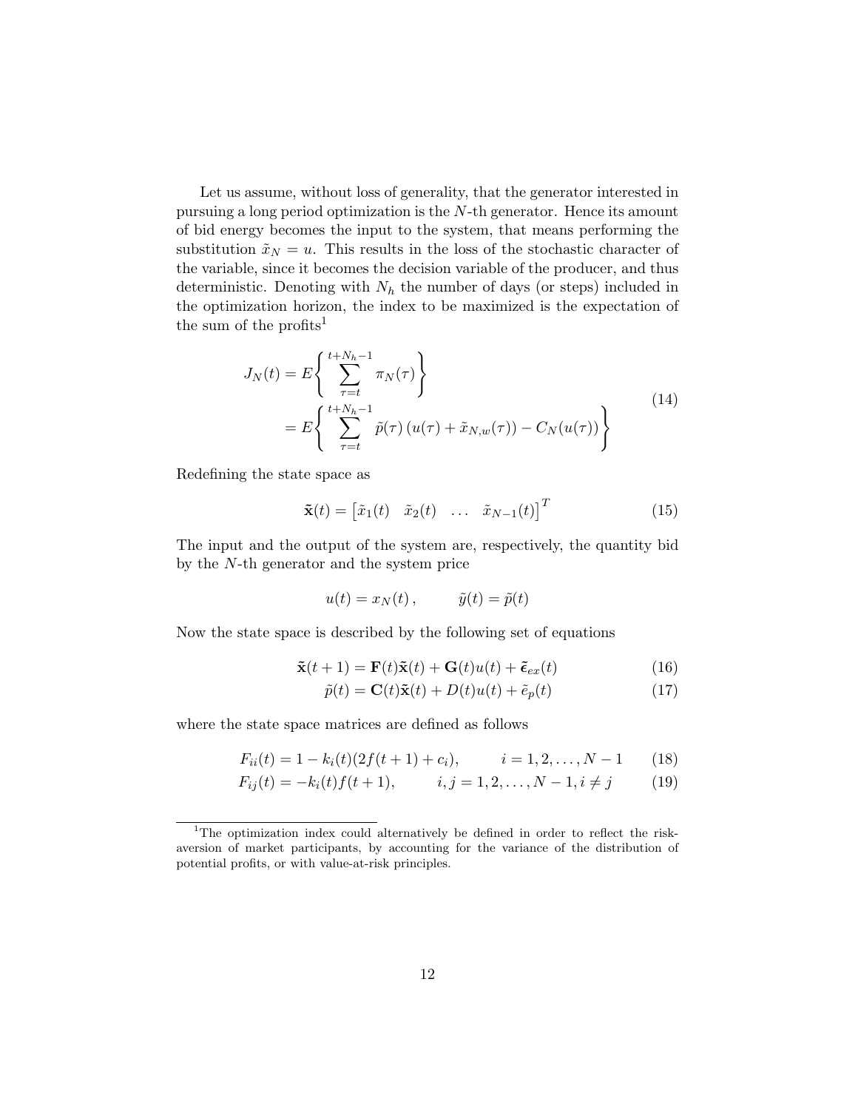Let us assume, without loss of generality, that the generator interested in pursuing a long period optimization is the N-th generator. Hence its amount of bid energy becomes the input to the system, that means performing the substitution  $\tilde{x}_N = u$ . This results in the loss of the stochastic character of the variable, since it becomes the decision variable of the producer, and thus deterministic. Denoting with  $N_h$  the number of days (or steps) included in the optimization horizon, the index to be maximized is the expectation of the sum of the profits<sup>1</sup>

$$
J_N(t) = E\left\{\sum_{\tau=t}^{t+N_h-1} \pi_N(\tau)\right\}
$$
  
= 
$$
E\left\{\sum_{\tau=t}^{t+N_h-1} \tilde{p}(\tau) (u(\tau) + \tilde{x}_{N,w}(\tau)) - C_N(u(\tau))\right\}
$$
 (14)

Redefining the state space as

$$
\tilde{\mathbf{x}}(t) = \begin{bmatrix} \tilde{x}_1(t) & \tilde{x}_2(t) & \dots & \tilde{x}_{N-1}(t) \end{bmatrix}^T
$$
\n(15)

The input and the output of the system are, respectively, the quantity bid by the N-th generator and the system price

$$
u(t) = x_N(t), \qquad \tilde{y}(t) = \tilde{p}(t)
$$

Now the state space is described by the following set of equations

$$
\tilde{\mathbf{x}}(t+1) = \mathbf{F}(t)\tilde{\mathbf{x}}(t) + \mathbf{G}(t)u(t) + \tilde{\epsilon}_{ex}(t)
$$
\n(16)

$$
\tilde{p}(t) = \mathbf{C}(t)\tilde{\mathbf{x}}(t) + D(t)u(t) + \tilde{e}_p(t)
$$
\n(17)

where the state space matrices are defined as follows

$$
F_{ii}(t) = 1 - k_i(t)(2f(t+1) + c_i), \qquad i = 1, 2, ..., N-1 \qquad (18)
$$

$$
F_{ij}(t) = -k_i(t)f(t+1), \qquad i, j = 1, 2, \dots, N-1, i \neq j \tag{19}
$$

 $1$ <sup>1</sup>The optimization index could alternatively be defined in order to reflect the riskaversion of market participants, by accounting for the variance of the distribution of potential profits, or with value-at-risk principles.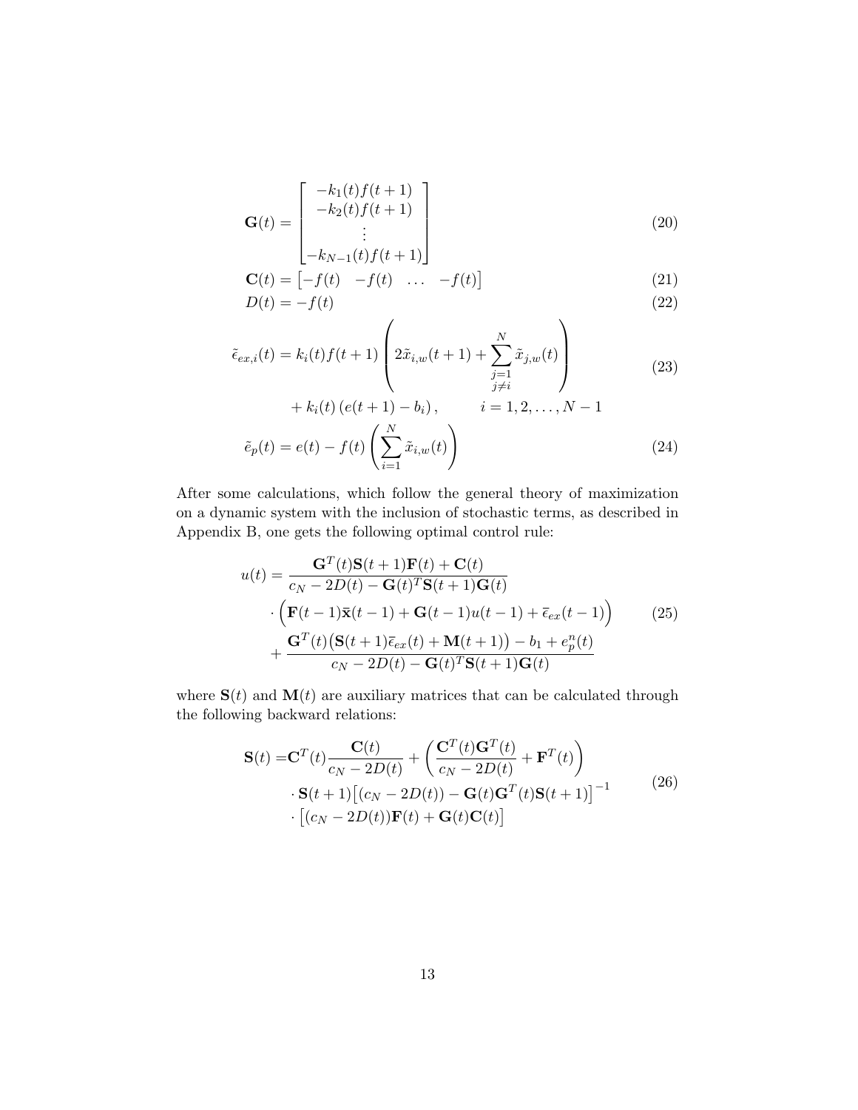$$
\mathbf{G}(t) = \begin{bmatrix} -k_1(t)f(t+1) \\ -k_2(t)f(t+1) \\ \vdots \\ -k_{N-1}(t)f(t+1) \end{bmatrix}
$$
(20)

$$
\mathbf{C}(t) = \begin{bmatrix} -f(t) & -f(t) & \dots & -f(t) \end{bmatrix}
$$
(21)  

$$
\mathbf{D}(t) = f(t)
$$
(99)

$$
D(t) = -f(t) \tag{22}
$$

$$
\tilde{\epsilon}_{ex,i}(t) = k_i(t)f(t+1)\left(2\tilde{x}_{i,w}(t+1) + \sum_{\substack{j=1 \ j \neq i}}^N \tilde{x}_{j,w}(t)\right)
$$
\n(23)

+ 
$$
k_i(t) (e(t+1) - b_i),
$$
  $i = 1, 2, ..., N - 1$   
 $\tilde{e}_p(t) = e(t) - f(t) \left( \sum_{i=1}^N \tilde{x}_{i,w}(t) \right)$  (24)

After some calculations, which follow the general theory of maximization on a dynamic system with the inclusion of stochastic terms, as described in Appendix B, one gets the following optimal control rule:

$$
u(t) = \frac{\mathbf{G}^{T}(t)\mathbf{S}(t+1)\mathbf{F}(t)+\mathbf{C}(t)}{c_{N}-2D(t)-\mathbf{G}(t)^{T}\mathbf{S}(t+1)\mathbf{G}(t)} \cdot\left(\mathbf{F}(t-1)\bar{\mathbf{x}}(t-1)+\mathbf{G}(t-1)u(t-1)+\bar{\epsilon}_{ex}(t-1)\right) \quad +\frac{\mathbf{G}^{T}(t)\left(\mathbf{S}(t+1)\bar{\epsilon}_{ex}(t)+\mathbf{M}(t+1)\right)-b_{1}+e_{p}^{n}(t)}{c_{N}-2D(t)-\mathbf{G}(t)^{T}\mathbf{S}(t+1)\mathbf{G}(t)}
$$
\n(25)

where  $\mathbf{S}(t)$  and  $\mathbf{M}(t)$  are auxiliary matrices that can be calculated through the following backward relations:

$$
\mathbf{S}(t) = \mathbf{C}^{T}(t) \frac{\mathbf{C}(t)}{c_{N} - 2D(t)} + \left(\frac{\mathbf{C}^{T}(t)\mathbf{G}^{T}(t)}{c_{N} - 2D(t)} + \mathbf{F}^{T}(t)\right)
$$

$$
\mathbf{S}(t+1)\left[(c_{N} - 2D(t)) - \mathbf{G}(t)\mathbf{G}^{T}(t)\mathbf{S}(t+1)\right]^{-1}
$$
(26)
$$
\cdot \left[ (c_{N} - 2D(t))\mathbf{F}(t) + \mathbf{G}(t)\mathbf{C}(t) \right]
$$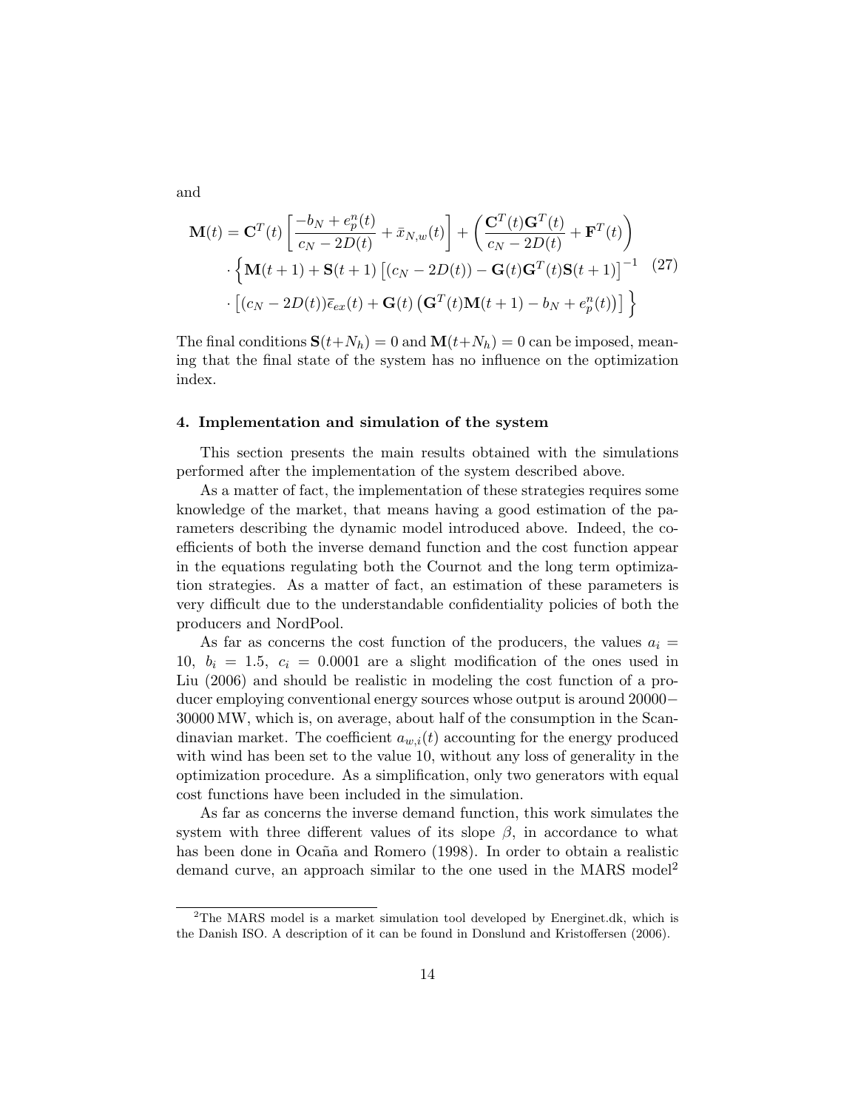and

$$
\mathbf{M}(t) = \mathbf{C}^{T}(t) \left[ \frac{-b_{N} + e_{p}^{n}(t)}{c_{N} - 2D(t)} + \bar{x}_{N,w}(t) \right] + \left( \frac{\mathbf{C}^{T}(t)\mathbf{G}^{T}(t)}{c_{N} - 2D(t)} + \mathbf{F}^{T}(t) \right)
$$

$$
\cdot \left\{ \mathbf{M}(t+1) + \mathbf{S}(t+1) \left[ (c_{N} - 2D(t)) - \mathbf{G}(t)\mathbf{G}^{T}(t)\mathbf{S}(t+1) \right]^{-1} (27)
$$

$$
\cdot \left[ (c_{N} - 2D(t))\bar{\epsilon}_{ex}(t) + \mathbf{G}(t) \left( \mathbf{G}^{T}(t)\mathbf{M}(t+1) - b_{N} + e_{p}^{n}(t) \right) \right] \right\}
$$

The final conditions  $S(t+N_h) = 0$  and  $M(t+N_h) = 0$  can be imposed, meaning that the final state of the system has no influence on the optimization index.

#### 4. Implementation and simulation of the system

This section presents the main results obtained with the simulations performed after the implementation of the system described above.

As a matter of fact, the implementation of these strategies requires some knowledge of the market, that means having a good estimation of the parameters describing the dynamic model introduced above. Indeed, the coefficients of both the inverse demand function and the cost function appear in the equations regulating both the Cournot and the long term optimization strategies. As a matter of fact, an estimation of these parameters is very difficult due to the understandable confidentiality policies of both the producers and NordPool.

As far as concerns the cost function of the producers, the values  $a_i =$ 10,  $b_i = 1.5$ ,  $c_i = 0.0001$  are a slight modification of the ones used in Liu (2006) and should be realistic in modeling the cost function of a producer employing conventional energy sources whose output is around 20000− 30000 MW, which is, on average, about half of the consumption in the Scandinavian market. The coefficient  $a_{w,i}(t)$  accounting for the energy produced with wind has been set to the value 10, without any loss of generality in the optimization procedure. As a simplification, only two generators with equal cost functions have been included in the simulation.

As far as concerns the inverse demand function, this work simulates the system with three different values of its slope  $\beta$ , in accordance to what has been done in Ocaña and Romero (1998). In order to obtain a realistic demand curve, an approach similar to the one used in the MARS model<sup>2</sup>

<sup>&</sup>lt;sup>2</sup>The MARS model is a market simulation tool developed by Energinet.dk, which is the Danish ISO. A description of it can be found in Donslund and Kristoffersen (2006).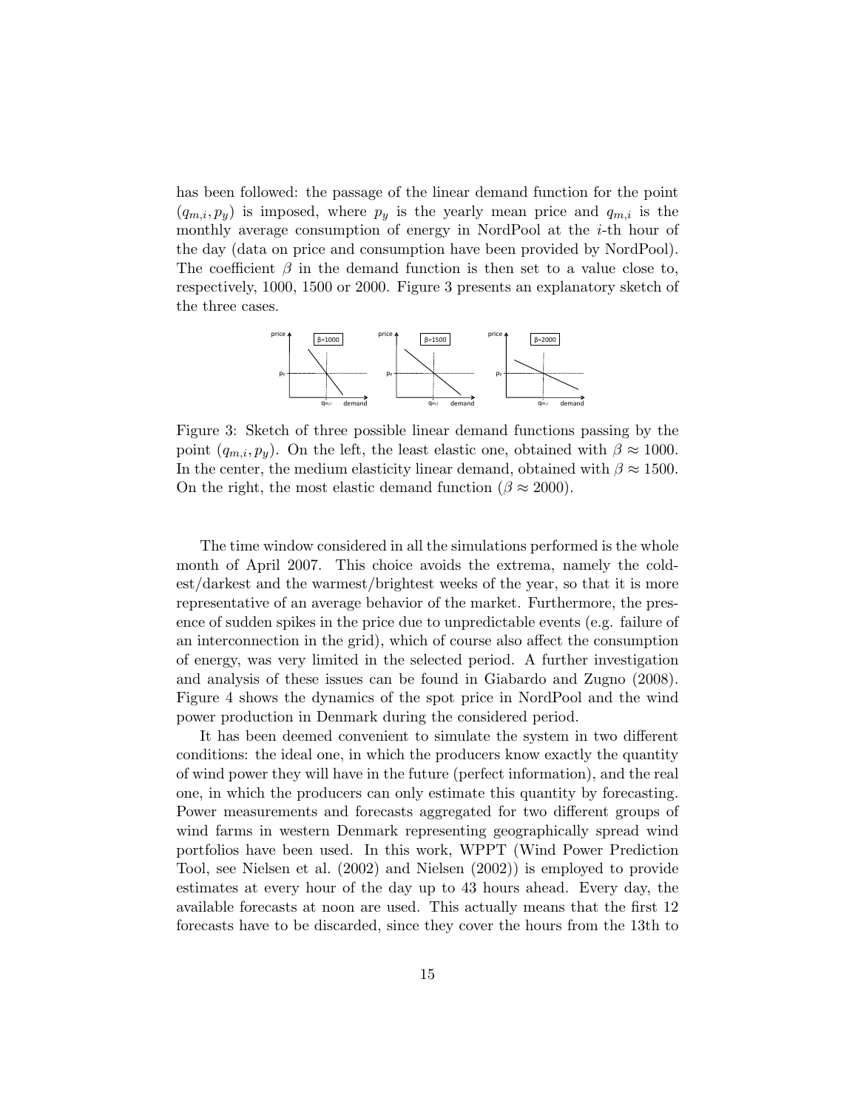has been followed: the passage of the linear demand function for the point  $(q_{m,i}, p_y)$  is imposed, where  $p_y$  is the yearly mean price and  $q_{m,i}$  is the monthly average consumption of energy in NordPool at the  $i$ -th hour of the day (data on price and consumption have been provided by NordPool). The coefficient  $\beta$  in the demand function is then set to a value close to, respectively, 1000, 1500 or 2000. Figure 3 presents an explanatory sketch of the three cases.



Figure 3: Sketch of three possible linear demand functions passing by the point  $(q_{m,i}, p_y)$ . On the left, the least elastic one, obtained with  $\beta \approx 1000$ . In the center, the medium elasticity linear demand, obtained with  $\beta \approx 1500$ . On the right, the most elastic demand function ( $\beta \approx 2000$ ).

The time window considered in all the simulations performed is the whole month of April 2007. This choice avoids the extrema, namely the coldest/darkest and the warmest/brightest weeks of the year, so that it is more representative of an average behavior of the market. Furthermore, the presence of sudden spikes in the price due to unpredictable events (e.g. failure of an interconnection in the grid), which of course also affect the consumption of energy, was very limited in the selected period. A further investigation and analysis of these issues can be found in Giabardo and Zugno (2008). Figure 4 shows the dynamics of the spot price in NordPool and the wind power production in Denmark during the considered period.

It has been deemed convenient to simulate the system in two different conditions: the ideal one, in which the producers know exactly the quantity of wind power they will have in the future (perfect information), and the real one, in which the producers can only estimate this quantity by forecasting. Power measurements and forecasts aggregated for two different groups of wind farms in western Denmark representing geographically spread wind portfolios have been used. In this work, WPPT (Wind Power Prediction Tool, see Nielsen et al. (2002) and Nielsen (2002)) is employed to provide estimates at every hour of the day up to 43 hours ahead. Every day, the available forecasts at noon are used. This actually means that the first 12 forecasts have to be discarded, since they cover the hours from the 13th to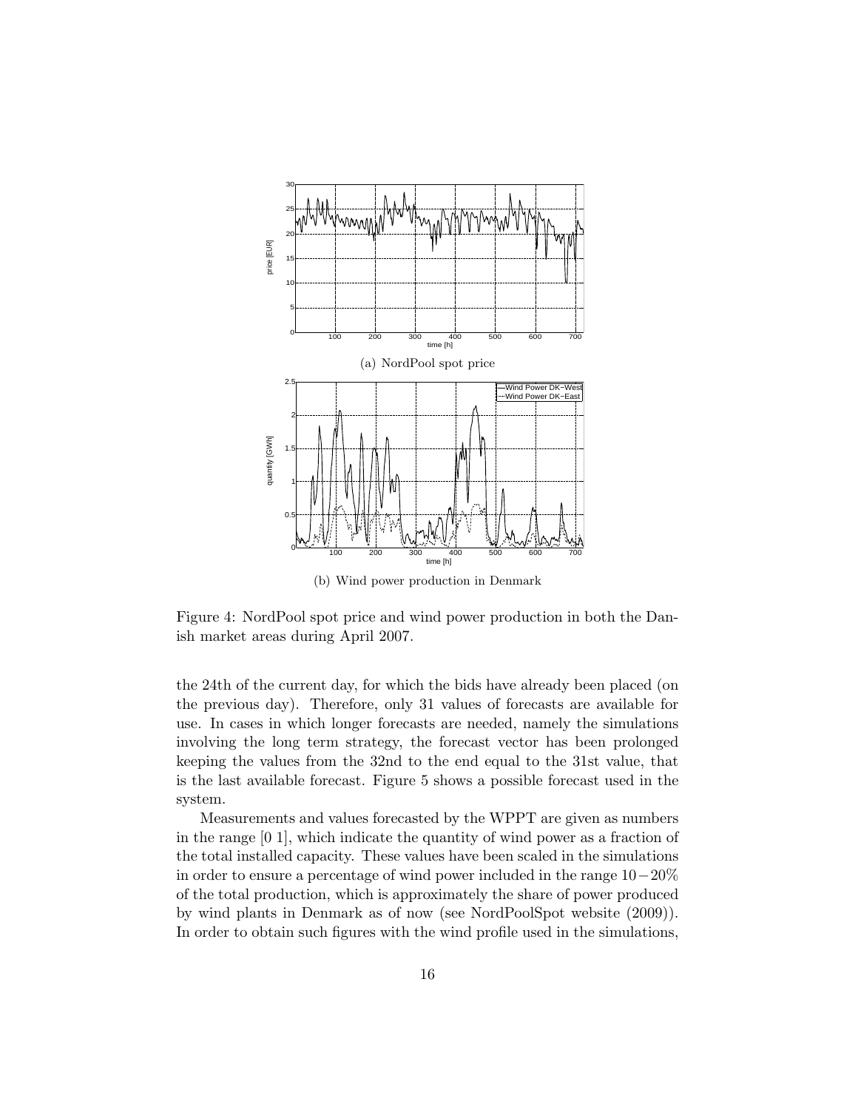

Figure 4: NordPool spot price and wind power production in both the Danish market areas during April 2007.

the 24th of the current day, for which the bids have already been placed (on the previous day). Therefore, only 31 values of forecasts are available for use. In cases in which longer forecasts are needed, namely the simulations involving the long term strategy, the forecast vector has been prolonged keeping the values from the 32nd to the end equal to the 31st value, that is the last available forecast. Figure 5 shows a possible forecast used in the system.

Measurements and values forecasted by the WPPT are given as numbers in the range [0 1], which indicate the quantity of wind power as a fraction of the total installed capacity. These values have been scaled in the simulations in order to ensure a percentage of wind power included in the range 10−20% of the total production, which is approximately the share of power produced by wind plants in Denmark as of now (see NordPoolSpot website (2009)). In order to obtain such figures with the wind profile used in the simulations,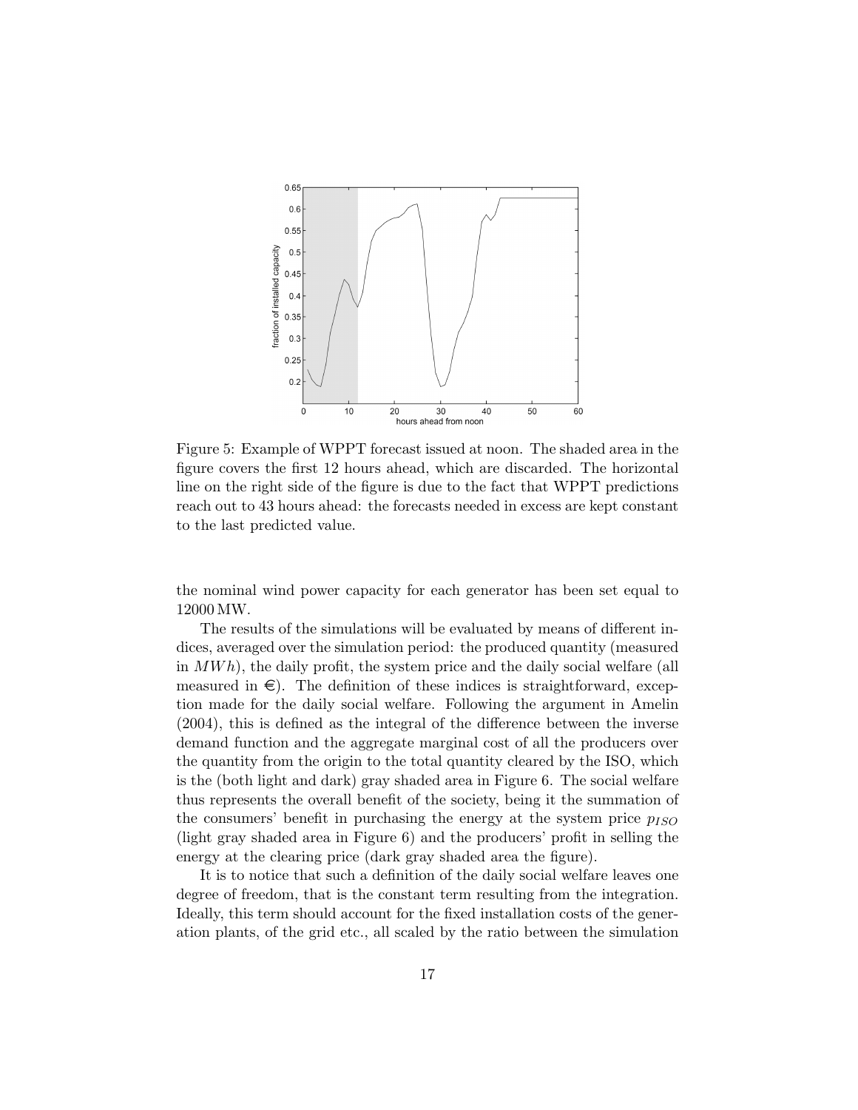

Figure 5: Example of WPPT forecast issued at noon. The shaded area in the figure covers the first 12 hours ahead, which are discarded. The horizontal line on the right side of the figure is due to the fact that WPPT predictions reach out to 43 hours ahead: the forecasts needed in excess are kept constant to the last predicted value.

the nominal wind power capacity for each generator has been set equal to 12000 MW.

The results of the simulations will be evaluated by means of different indices, averaged over the simulation period: the produced quantity (measured in  $MWh$ , the daily profit, the system price and the daily social welfare (all measured in  $\epsilon$ ). The definition of these indices is straightforward, exception made for the daily social welfare. Following the argument in Amelin (2004), this is defined as the integral of the difference between the inverse demand function and the aggregate marginal cost of all the producers over the quantity from the origin to the total quantity cleared by the ISO, which is the (both light and dark) gray shaded area in Figure 6. The social welfare thus represents the overall benefit of the society, being it the summation of the consumers' benefit in purchasing the energy at the system price  $p_{ISO}$ (light gray shaded area in Figure 6) and the producers' profit in selling the energy at the clearing price (dark gray shaded area the figure).

It is to notice that such a definition of the daily social welfare leaves one degree of freedom, that is the constant term resulting from the integration. Ideally, this term should account for the fixed installation costs of the generation plants, of the grid etc., all scaled by the ratio between the simulation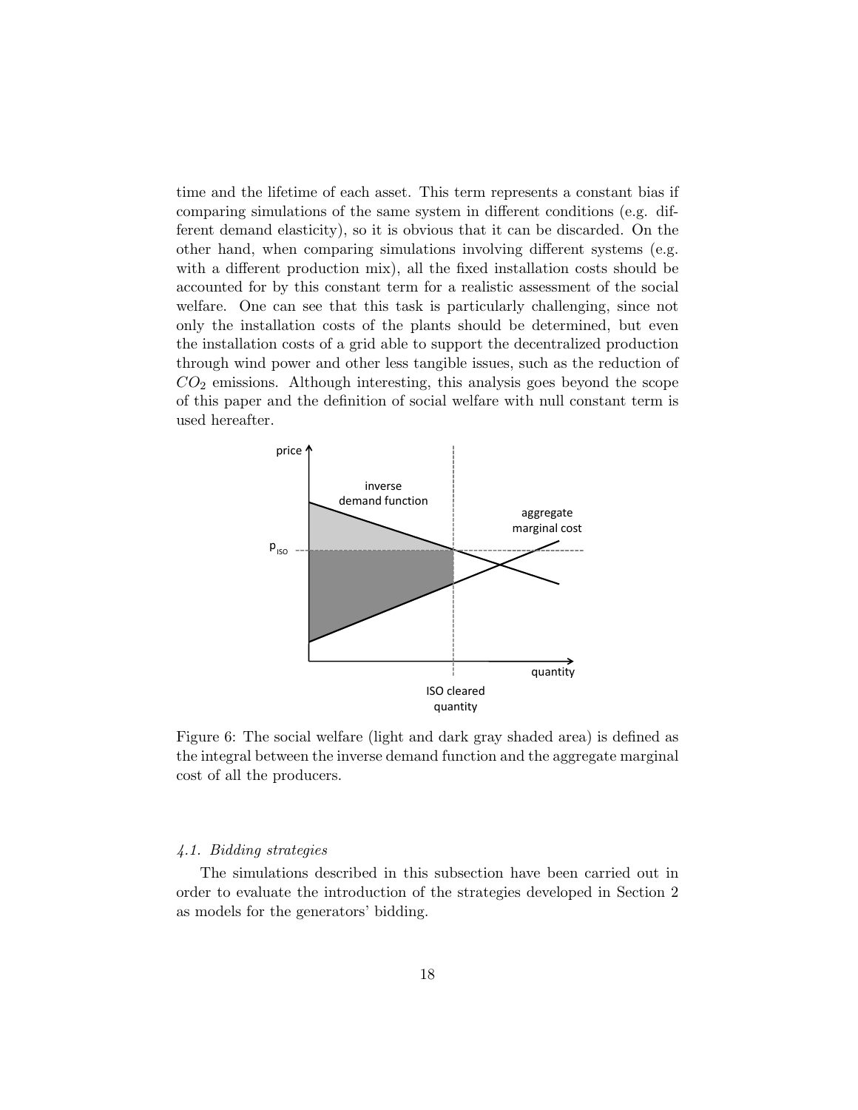time and the lifetime of each asset. This term represents a constant bias if comparing simulations of the same system in different conditions (e.g. different demand elasticity), so it is obvious that it can be discarded. On the other hand, when comparing simulations involving different systems (e.g. with a different production mix), all the fixed installation costs should be accounted for by this constant term for a realistic assessment of the social welfare. One can see that this task is particularly challenging, since not only the installation costs of the plants should be determined, but even the installation costs of a grid able to support the decentralized production through wind power and other less tangible issues, such as the reduction of  $CO<sub>2</sub>$  emissions. Although interesting, this analysis goes beyond the scope of this paper and the definition of social welfare with null constant term is used hereafter.



Figure 6: The social welfare (light and dark gray shaded area) is defined as the integral between the inverse demand function and the aggregate marginal cost of all the producers.

#### 4.1. Bidding strategies

The simulations described in this subsection have been carried out in order to evaluate the introduction of the strategies developed in Section 2 as models for the generators' bidding.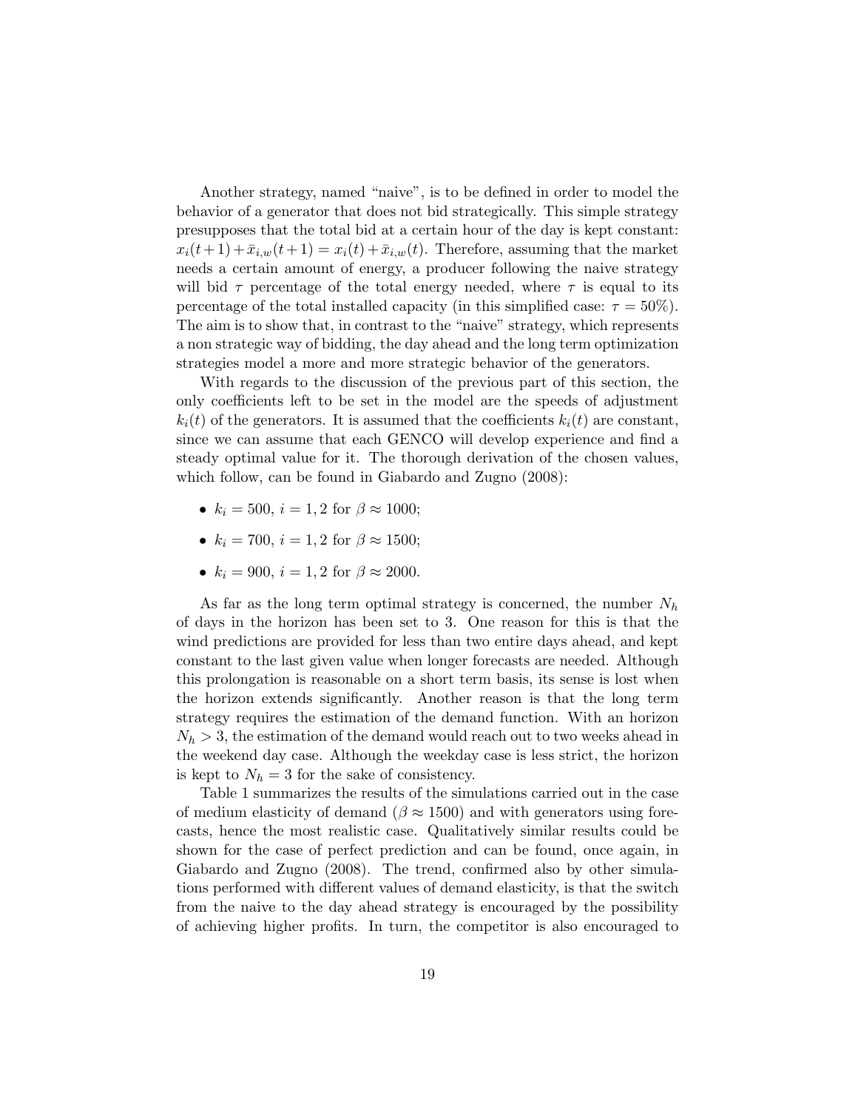Another strategy, named "naive", is to be defined in order to model the behavior of a generator that does not bid strategically. This simple strategy presupposes that the total bid at a certain hour of the day is kept constant:  $x_i(t+1) + \bar{x}_{i,w}(t+1) = x_i(t) + \bar{x}_{i,w}(t)$ . Therefore, assuming that the market needs a certain amount of energy, a producer following the naive strategy will bid  $\tau$  percentage of the total energy needed, where  $\tau$  is equal to its percentage of the total installed capacity (in this simplified case:  $\tau = 50\%$ ). The aim is to show that, in contrast to the "naive" strategy, which represents a non strategic way of bidding, the day ahead and the long term optimization strategies model a more and more strategic behavior of the generators.

With regards to the discussion of the previous part of this section, the only coefficients left to be set in the model are the speeds of adjustment  $k_i(t)$  of the generators. It is assumed that the coefficients  $k_i(t)$  are constant, since we can assume that each GENCO will develop experience and find a steady optimal value for it. The thorough derivation of the chosen values, which follow, can be found in Giabardo and Zugno (2008):

- $k_i = 500, i = 1, 2$  for  $\beta \approx 1000$ ;
- $k_i = 700, i = 1, 2$  for  $\beta \approx 1500$ ;
- $k_i = 900, i = 1, 2$  for  $\beta \approx 2000$ .

As far as the long term optimal strategy is concerned, the number  $N_h$ of days in the horizon has been set to 3. One reason for this is that the wind predictions are provided for less than two entire days ahead, and kept constant to the last given value when longer forecasts are needed. Although this prolongation is reasonable on a short term basis, its sense is lost when the horizon extends significantly. Another reason is that the long term strategy requires the estimation of the demand function. With an horizon  $N_h > 3$ , the estimation of the demand would reach out to two weeks ahead in the weekend day case. Although the weekday case is less strict, the horizon is kept to  $N_h = 3$  for the sake of consistency.

Table 1 summarizes the results of the simulations carried out in the case of medium elasticity of demand ( $\beta \approx 1500$ ) and with generators using forecasts, hence the most realistic case. Qualitatively similar results could be shown for the case of perfect prediction and can be found, once again, in Giabardo and Zugno (2008). The trend, confirmed also by other simulations performed with different values of demand elasticity, is that the switch from the naive to the day ahead strategy is encouraged by the possibility of achieving higher profits. In turn, the competitor is also encouraged to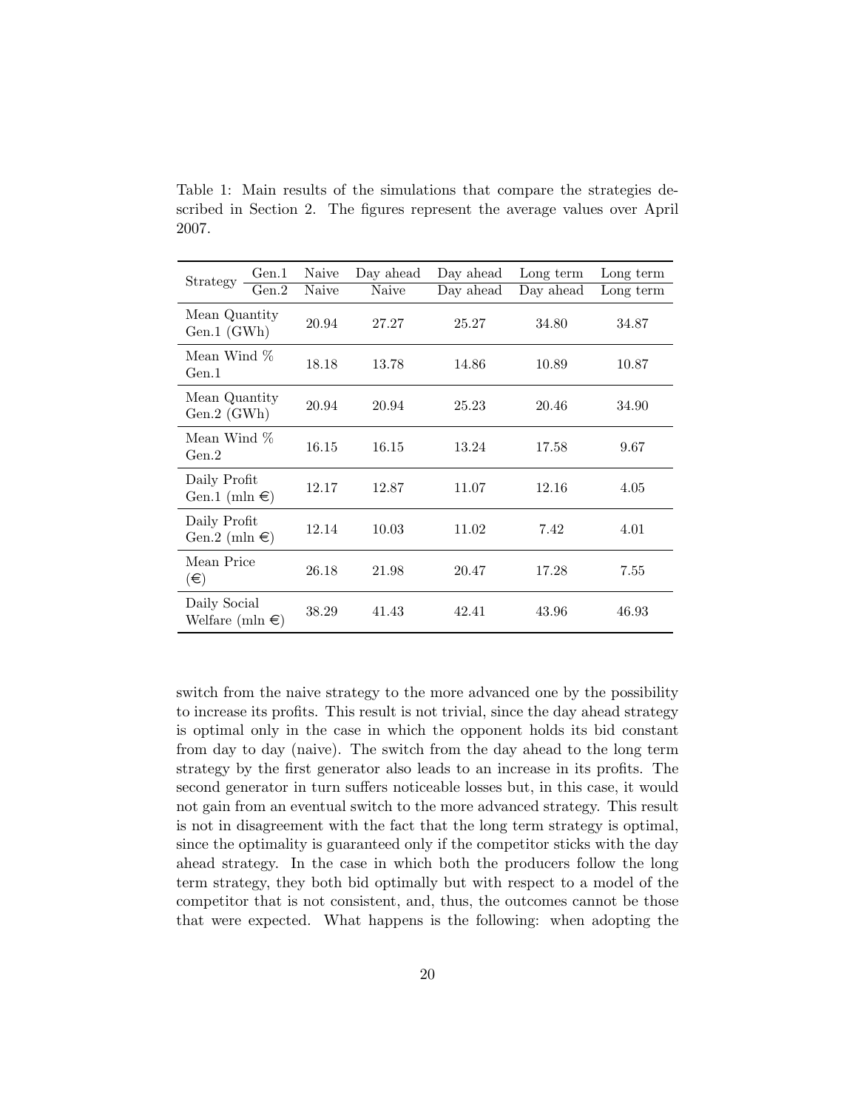Table 1: Main results of the simulations that compare the strategies described in Section 2. The figures represent the average values over April 2007.

| Strategy                             | Gen.1<br>Gen.2 | Naive<br>Naive | Day ahead<br>Naive | Day ahead<br>Day ahead | Long term<br>Day ahead | Long term<br>Long term |
|--------------------------------------|----------------|----------------|--------------------|------------------------|------------------------|------------------------|
| Mean Quantity<br>Gen.1 (GWh)         |                | 20.94          | 27.27              | 25.27                  | 34.80                  | 34.87                  |
| Mean Wind %<br>Gen.1                 |                | 18.18          | 13.78              | 14.86                  | 10.89                  | 10.87                  |
| Mean Quantity<br>Gen.2 (GWh)         |                | 20.94          | 20.94              | 25.23                  | 20.46                  | 34.90                  |
| Mean Wind $%$<br>Gen.2               |                | 16.15          | 16.15              | 13.24                  | 17.58                  | 9.67                   |
| Daily Profit<br>Gen.1 (mln $\in$ )   |                | 12.17          | 12.87              | 11.07                  | 12.16                  | 4.05                   |
| Daily Profit<br>Gen.2 (mln $\in)$    |                | 12.14          | 10.03              | 11.02                  | 7.42                   | 4.01                   |
| Mean Price<br>$(\in)$                |                | 26.18          | 21.98              | 20.47                  | 17.28                  | 7.55                   |
| Daily Social<br>Welfare (mln $\in$ ) |                | 38.29          | 41.43              | 42.41                  | 43.96                  | 46.93                  |

switch from the naive strategy to the more advanced one by the possibility to increase its profits. This result is not trivial, since the day ahead strategy is optimal only in the case in which the opponent holds its bid constant from day to day (naive). The switch from the day ahead to the long term strategy by the first generator also leads to an increase in its profits. The second generator in turn suffers noticeable losses but, in this case, it would not gain from an eventual switch to the more advanced strategy. This result is not in disagreement with the fact that the long term strategy is optimal, since the optimality is guaranteed only if the competitor sticks with the day ahead strategy. In the case in which both the producers follow the long term strategy, they both bid optimally but with respect to a model of the competitor that is not consistent, and, thus, the outcomes cannot be those that were expected. What happens is the following: when adopting the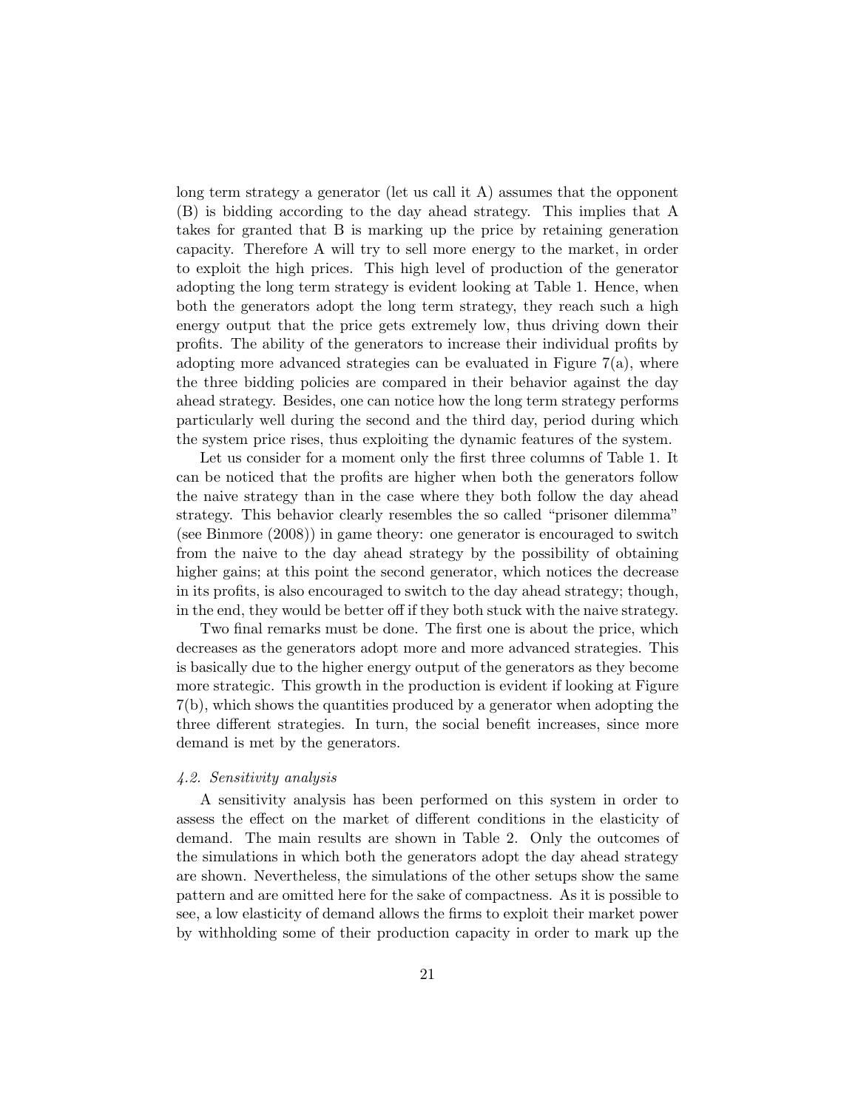long term strategy a generator (let us call it A) assumes that the opponent (B) is bidding according to the day ahead strategy. This implies that A takes for granted that B is marking up the price by retaining generation capacity. Therefore A will try to sell more energy to the market, in order to exploit the high prices. This high level of production of the generator adopting the long term strategy is evident looking at Table 1. Hence, when both the generators adopt the long term strategy, they reach such a high energy output that the price gets extremely low, thus driving down their profits. The ability of the generators to increase their individual profits by adopting more advanced strategies can be evaluated in Figure 7(a), where the three bidding policies are compared in their behavior against the day ahead strategy. Besides, one can notice how the long term strategy performs particularly well during the second and the third day, period during which the system price rises, thus exploiting the dynamic features of the system.

Let us consider for a moment only the first three columns of Table 1. It can be noticed that the profits are higher when both the generators follow the naive strategy than in the case where they both follow the day ahead strategy. This behavior clearly resembles the so called "prisoner dilemma" (see Binmore (2008)) in game theory: one generator is encouraged to switch from the naive to the day ahead strategy by the possibility of obtaining higher gains; at this point the second generator, which notices the decrease in its profits, is also encouraged to switch to the day ahead strategy; though, in the end, they would be better off if they both stuck with the naive strategy.

Two final remarks must be done. The first one is about the price, which decreases as the generators adopt more and more advanced strategies. This is basically due to the higher energy output of the generators as they become more strategic. This growth in the production is evident if looking at Figure 7(b), which shows the quantities produced by a generator when adopting the three different strategies. In turn, the social benefit increases, since more demand is met by the generators.

#### 4.2. Sensitivity analysis

A sensitivity analysis has been performed on this system in order to assess the effect on the market of different conditions in the elasticity of demand. The main results are shown in Table 2. Only the outcomes of the simulations in which both the generators adopt the day ahead strategy are shown. Nevertheless, the simulations of the other setups show the same pattern and are omitted here for the sake of compactness. As it is possible to see, a low elasticity of demand allows the firms to exploit their market power by withholding some of their production capacity in order to mark up the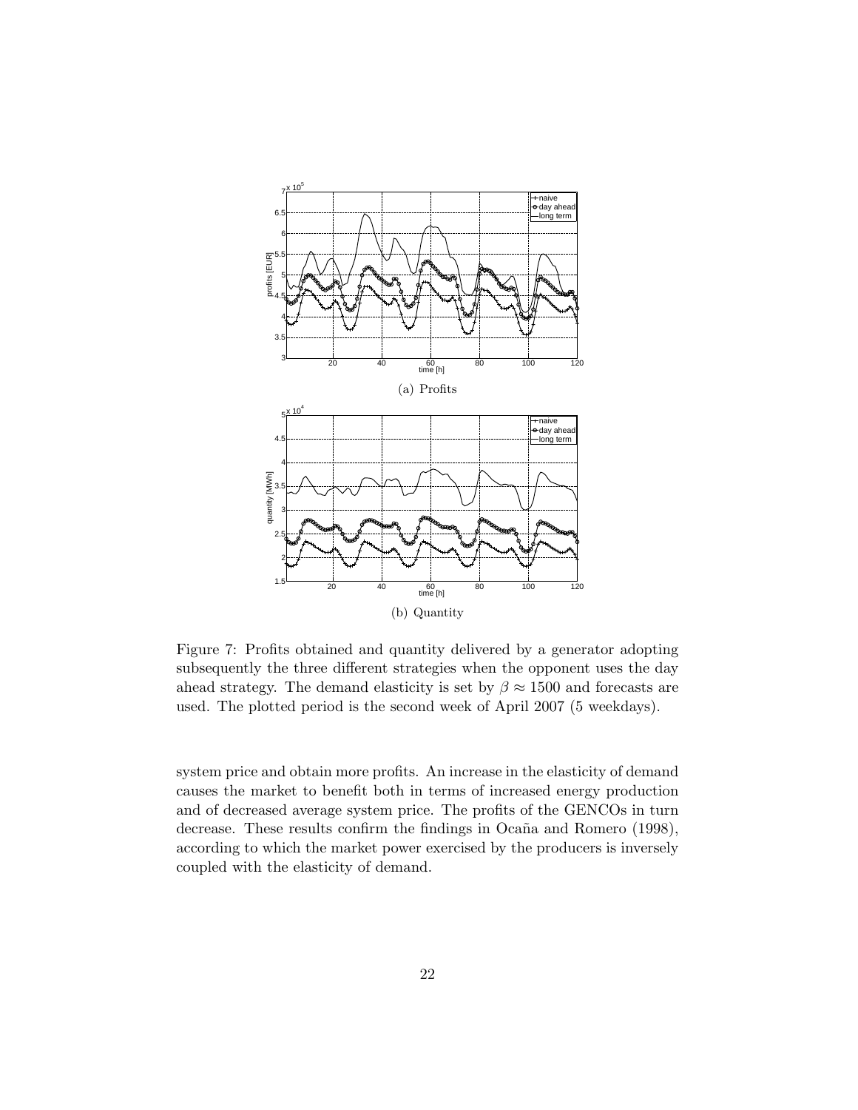

Figure 7: Profits obtained and quantity delivered by a generator adopting subsequently the three different strategies when the opponent uses the day ahead strategy. The demand elasticity is set by  $\beta \approx 1500$  and forecasts are used. The plotted period is the second week of April 2007 (5 weekdays).

system price and obtain more profits. An increase in the elasticity of demand causes the market to benefit both in terms of increased energy production and of decreased average system price. The profits of the GENCOs in turn decrease. These results confirm the findings in Ocaña and Romero (1998), according to which the market power exercised by the producers is inversely coupled with the elasticity of demand.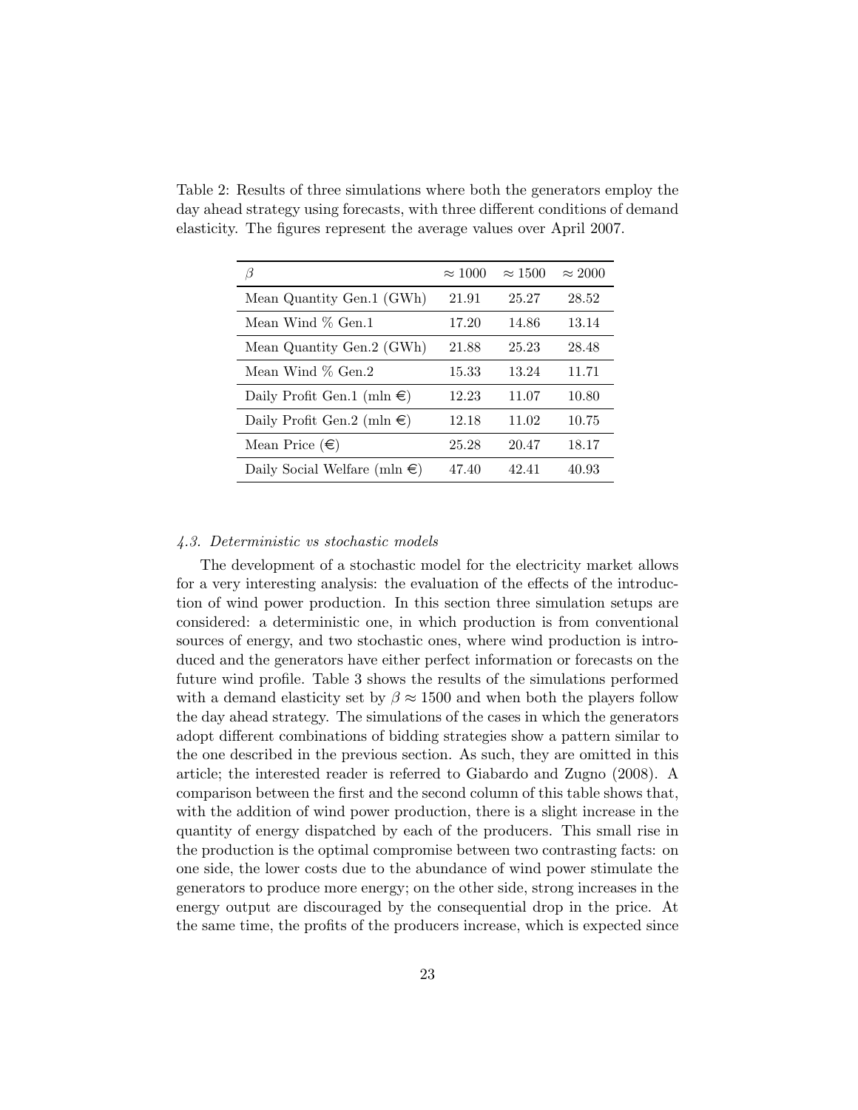|                                   | $\approx 1000$ | $\approx 1500$ | $\approx 2000$ |
|-----------------------------------|----------------|----------------|----------------|
| Mean Quantity Gen.1 (GWh)         | 21.91          | 25.27          | 28.52          |
| Mean Wind $%$ Gen.1               | 17.20          | 14.86          | 13.14          |
| Mean Quantity Gen.2 (GWh)         | 21.88          | 25.23          | 28.48          |
| Mean Wind % Gen.2                 | 15.33          | 13.24          | 11.71          |
| Daily Profit Gen.1 (mln $\in$ )   | 12.23          | 11.07          | 10.80          |
| Daily Profit Gen.2 (mln $\in$ )   | 12.18          | 11.02          | 10.75          |
| Mean Price $(\epsilon)$           | 25.28          | 20.47          | 18.17          |
| Daily Social Welfare (mln $\in$ ) | 47.40          | 42.41          | 40.93          |

Table 2: Results of three simulations where both the generators employ the day ahead strategy using forecasts, with three different conditions of demand elasticity. The figures represent the average values over April 2007.

#### 4.3. Deterministic vs stochastic models

The development of a stochastic model for the electricity market allows for a very interesting analysis: the evaluation of the effects of the introduction of wind power production. In this section three simulation setups are considered: a deterministic one, in which production is from conventional sources of energy, and two stochastic ones, where wind production is introduced and the generators have either perfect information or forecasts on the future wind profile. Table 3 shows the results of the simulations performed with a demand elasticity set by  $\beta \approx 1500$  and when both the players follow the day ahead strategy. The simulations of the cases in which the generators adopt different combinations of bidding strategies show a pattern similar to the one described in the previous section. As such, they are omitted in this article; the interested reader is referred to Giabardo and Zugno (2008). A comparison between the first and the second column of this table shows that, with the addition of wind power production, there is a slight increase in the quantity of energy dispatched by each of the producers. This small rise in the production is the optimal compromise between two contrasting facts: on one side, the lower costs due to the abundance of wind power stimulate the generators to produce more energy; on the other side, strong increases in the energy output are discouraged by the consequential drop in the price. At the same time, the profits of the producers increase, which is expected since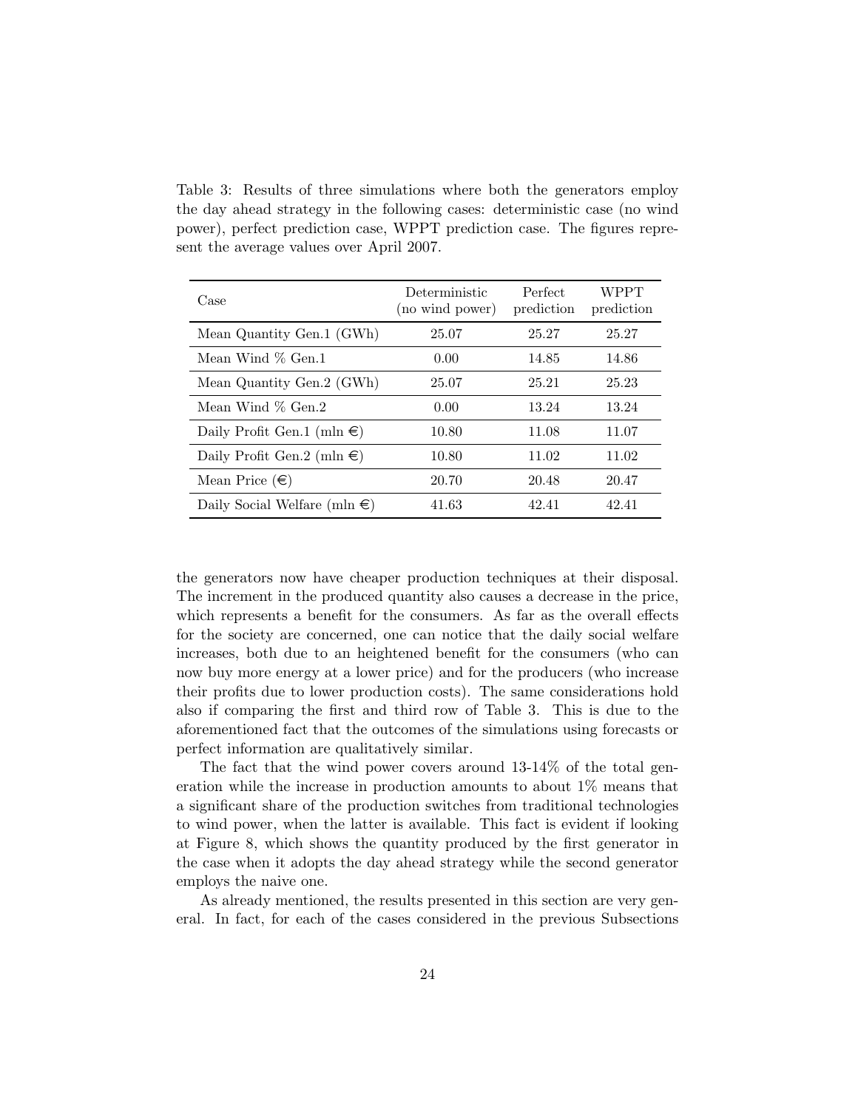Table 3: Results of three simulations where both the generators employ the day ahead strategy in the following cases: deterministic case (no wind power), perfect prediction case, WPPT prediction case. The figures represent the average values over April 2007.

| Case                              | Deterministic<br>(no wind power) | Perfect.<br>prediction | <b>WPPT</b><br>prediction |
|-----------------------------------|----------------------------------|------------------------|---------------------------|
| Mean Quantity Gen.1 (GWh)         | 25.07                            | 25.27                  | 25.27                     |
| Mean Wind $%$ Gen.1               | 0.00                             | 14.85                  | 14.86                     |
| Mean Quantity Gen.2 (GWh)         | 25.07                            | 25.21                  | 25.23                     |
| Mean Wind $\%$ Gen. 2             | 0.00                             | 13.24                  | 13.24                     |
| Daily Profit Gen.1 (mln $\in$ )   | 10.80                            | 11.08                  | 11.07                     |
| Daily Profit Gen.2 (mln $\in$ )   | 10.80                            | 11.02                  | 11.02                     |
| Mean Price $(\epsilon)$           | 20.70                            | 20.48                  | 20.47                     |
| Daily Social Welfare (mln $\in$ ) | 41.63                            | 42.41                  | 42.41                     |

the generators now have cheaper production techniques at their disposal. The increment in the produced quantity also causes a decrease in the price, which represents a benefit for the consumers. As far as the overall effects for the society are concerned, one can notice that the daily social welfare increases, both due to an heightened benefit for the consumers (who can now buy more energy at a lower price) and for the producers (who increase their profits due to lower production costs). The same considerations hold also if comparing the first and third row of Table 3. This is due to the aforementioned fact that the outcomes of the simulations using forecasts or perfect information are qualitatively similar.

The fact that the wind power covers around 13-14% of the total generation while the increase in production amounts to about 1% means that a significant share of the production switches from traditional technologies to wind power, when the latter is available. This fact is evident if looking at Figure 8, which shows the quantity produced by the first generator in the case when it adopts the day ahead strategy while the second generator employs the naive one.

As already mentioned, the results presented in this section are very general. In fact, for each of the cases considered in the previous Subsections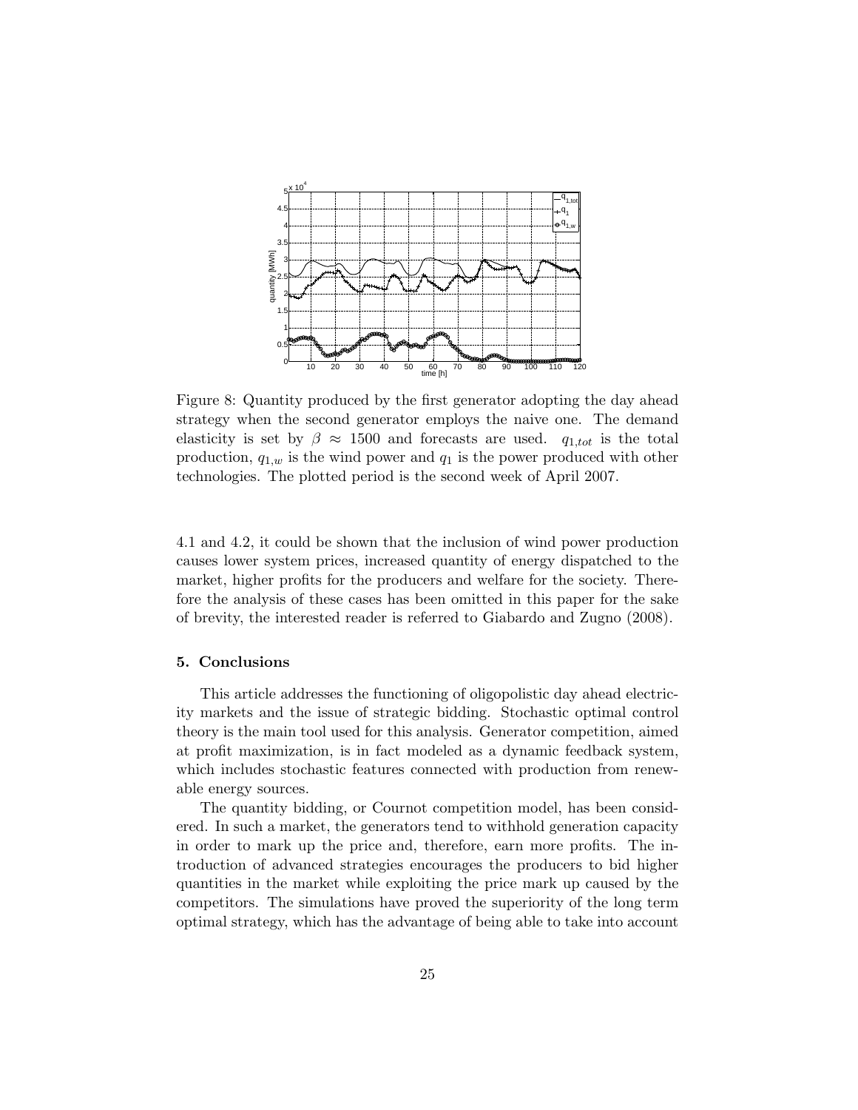

Figure 8: Quantity produced by the first generator adopting the day ahead strategy when the second generator employs the naive one. The demand elasticity is set by  $\beta \approx 1500$  and forecasts are used.  $q_{1,tot}$  is the total production,  $q_{1,w}$  is the wind power and  $q_1$  is the power produced with other technologies. The plotted period is the second week of April 2007.

4.1 and 4.2, it could be shown that the inclusion of wind power production causes lower system prices, increased quantity of energy dispatched to the market, higher profits for the producers and welfare for the society. Therefore the analysis of these cases has been omitted in this paper for the sake of brevity, the interested reader is referred to Giabardo and Zugno (2008).

### 5. Conclusions

This article addresses the functioning of oligopolistic day ahead electricity markets and the issue of strategic bidding. Stochastic optimal control theory is the main tool used for this analysis. Generator competition, aimed at profit maximization, is in fact modeled as a dynamic feedback system, which includes stochastic features connected with production from renewable energy sources.

The quantity bidding, or Cournot competition model, has been considered. In such a market, the generators tend to withhold generation capacity in order to mark up the price and, therefore, earn more profits. The introduction of advanced strategies encourages the producers to bid higher quantities in the market while exploiting the price mark up caused by the competitors. The simulations have proved the superiority of the long term optimal strategy, which has the advantage of being able to take into account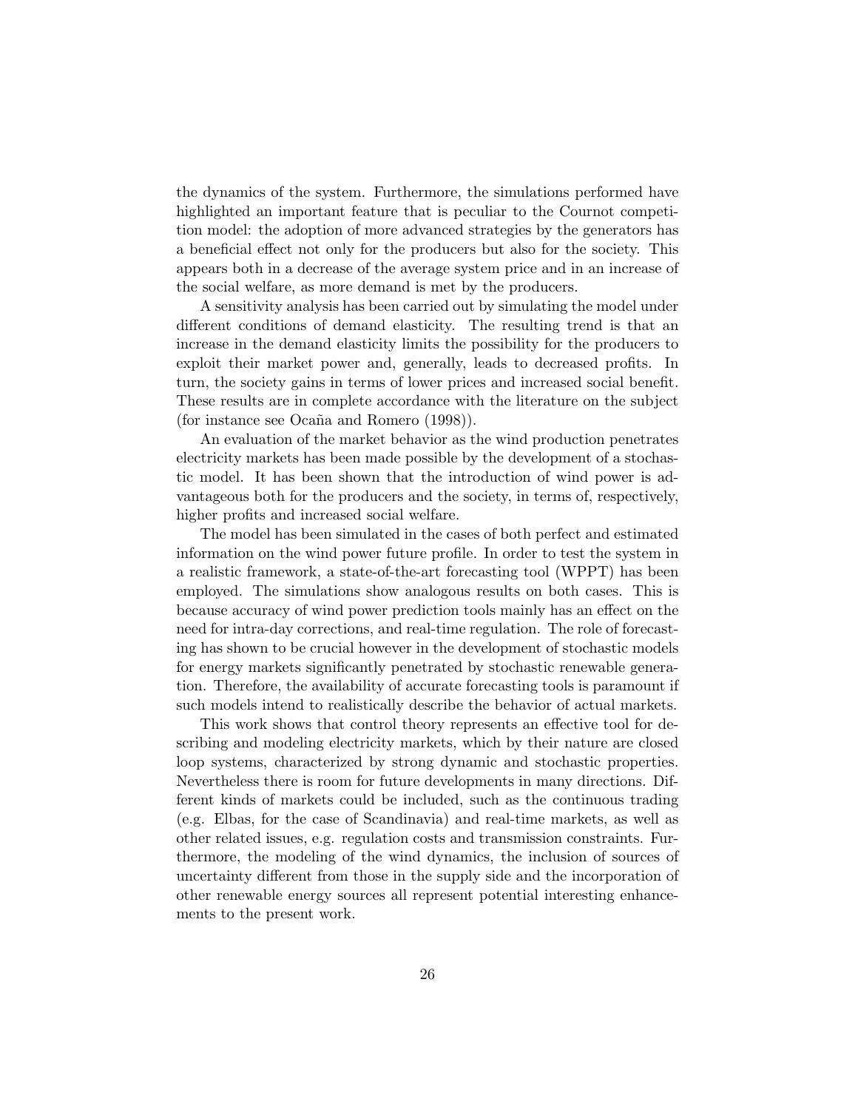the dynamics of the system. Furthermore, the simulations performed have highlighted an important feature that is peculiar to the Cournot competition model: the adoption of more advanced strategies by the generators has a beneficial effect not only for the producers but also for the society. This appears both in a decrease of the average system price and in an increase of the social welfare, as more demand is met by the producers.

A sensitivity analysis has been carried out by simulating the model under different conditions of demand elasticity. The resulting trend is that an increase in the demand elasticity limits the possibility for the producers to exploit their market power and, generally, leads to decreased profits. In turn, the society gains in terms of lower prices and increased social benefit. These results are in complete accordance with the literature on the subject (for instance see Ocaña and Romero (1998)).

An evaluation of the market behavior as the wind production penetrates electricity markets has been made possible by the development of a stochastic model. It has been shown that the introduction of wind power is advantageous both for the producers and the society, in terms of, respectively, higher profits and increased social welfare.

The model has been simulated in the cases of both perfect and estimated information on the wind power future profile. In order to test the system in a realistic framework, a state-of-the-art forecasting tool (WPPT) has been employed. The simulations show analogous results on both cases. This is because accuracy of wind power prediction tools mainly has an effect on the need for intra-day corrections, and real-time regulation. The role of forecasting has shown to be crucial however in the development of stochastic models for energy markets significantly penetrated by stochastic renewable generation. Therefore, the availability of accurate forecasting tools is paramount if such models intend to realistically describe the behavior of actual markets.

This work shows that control theory represents an effective tool for describing and modeling electricity markets, which by their nature are closed loop systems, characterized by strong dynamic and stochastic properties. Nevertheless there is room for future developments in many directions. Different kinds of markets could be included, such as the continuous trading (e.g. Elbas, for the case of Scandinavia) and real-time markets, as well as other related issues, e.g. regulation costs and transmission constraints. Furthermore, the modeling of the wind dynamics, the inclusion of sources of uncertainty different from those in the supply side and the incorporation of other renewable energy sources all represent potential interesting enhancements to the present work.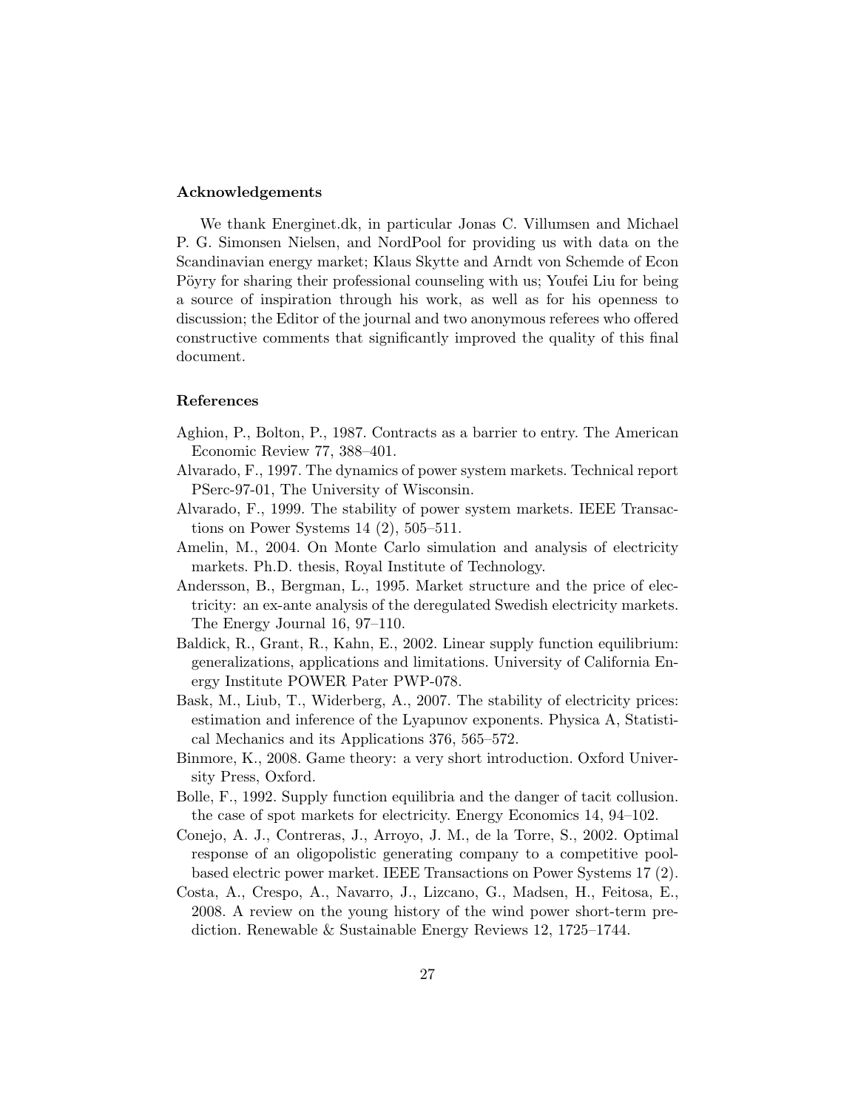#### Acknowledgements

We thank Energinet.dk, in particular Jonas C. Villumsen and Michael P. G. Simonsen Nielsen, and NordPool for providing us with data on the Scandinavian energy market; Klaus Skytte and Arndt von Schemde of Econ Pöyry for sharing their professional counseling with us; Youfei Liu for being a source of inspiration through his work, as well as for his openness to discussion; the Editor of the journal and two anonymous referees who offered constructive comments that significantly improved the quality of this final document.

## References

- Aghion, P., Bolton, P., 1987. Contracts as a barrier to entry. The American Economic Review 77, 388–401.
- Alvarado, F., 1997. The dynamics of power system markets. Technical report PSerc-97-01, The University of Wisconsin.
- Alvarado, F., 1999. The stability of power system markets. IEEE Transactions on Power Systems 14 (2), 505–511.
- Amelin, M., 2004. On Monte Carlo simulation and analysis of electricity markets. Ph.D. thesis, Royal Institute of Technology.
- Andersson, B., Bergman, L., 1995. Market structure and the price of electricity: an ex-ante analysis of the deregulated Swedish electricity markets. The Energy Journal 16, 97–110.
- Baldick, R., Grant, R., Kahn, E., 2002. Linear supply function equilibrium: generalizations, applications and limitations. University of California Energy Institute POWER Pater PWP-078.
- Bask, M., Liub, T., Widerberg, A., 2007. The stability of electricity prices: estimation and inference of the Lyapunov exponents. Physica A, Statistical Mechanics and its Applications 376, 565–572.
- Binmore, K., 2008. Game theory: a very short introduction. Oxford University Press, Oxford.
- Bolle, F., 1992. Supply function equilibria and the danger of tacit collusion. the case of spot markets for electricity. Energy Economics 14, 94–102.
- Conejo, A. J., Contreras, J., Arroyo, J. M., de la Torre, S., 2002. Optimal response of an oligopolistic generating company to a competitive poolbased electric power market. IEEE Transactions on Power Systems 17 (2).
- Costa, A., Crespo, A., Navarro, J., Lizcano, G., Madsen, H., Feitosa, E., 2008. A review on the young history of the wind power short-term prediction. Renewable & Sustainable Energy Reviews 12, 1725–1744.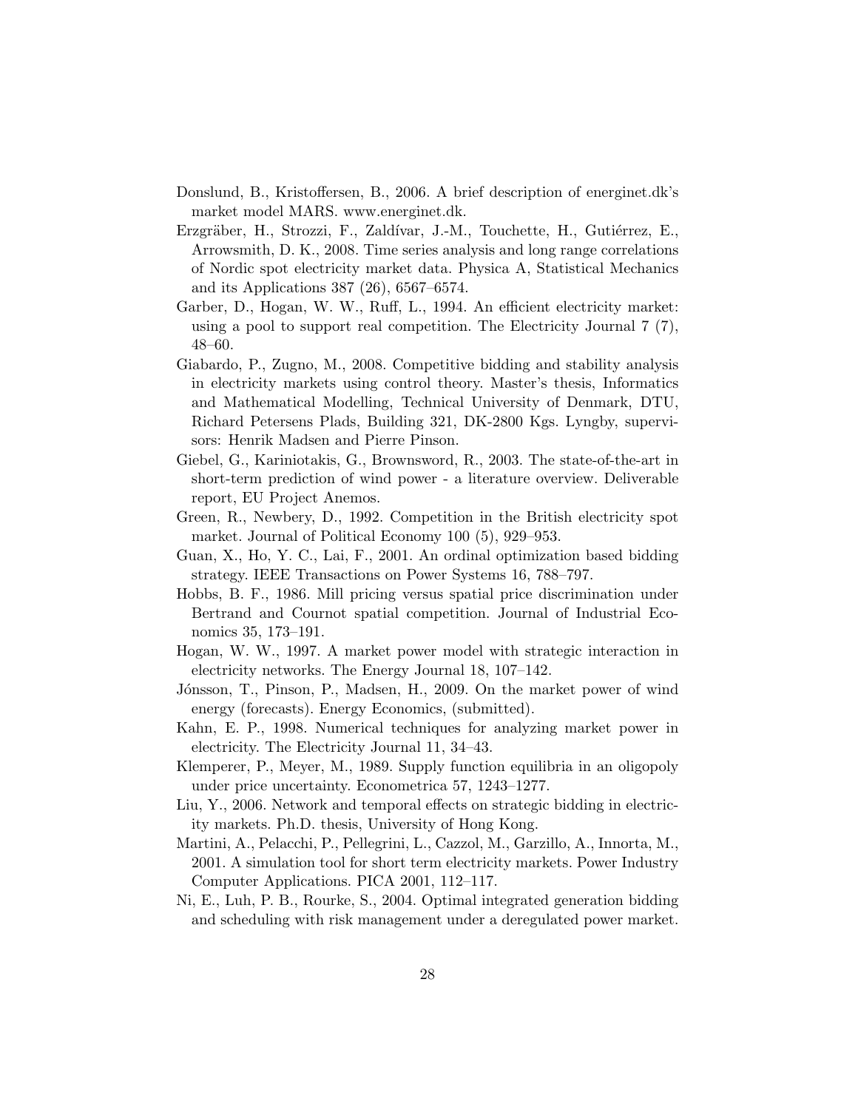- Donslund, B., Kristoffersen, B., 2006. A brief description of energinet.dk's market model MARS. www.energinet.dk.
- Erzgräber, H., Strozzi, F., Zaldívar, J.-M., Touchette, H., Gutiérrez, E., Arrowsmith, D. K., 2008. Time series analysis and long range correlations of Nordic spot electricity market data. Physica A, Statistical Mechanics and its Applications 387 (26), 6567–6574.
- Garber, D., Hogan, W. W., Ruff, L., 1994. An efficient electricity market: using a pool to support real competition. The Electricity Journal 7 (7), 48–60.
- Giabardo, P., Zugno, M., 2008. Competitive bidding and stability analysis in electricity markets using control theory. Master's thesis, Informatics and Mathematical Modelling, Technical University of Denmark, DTU, Richard Petersens Plads, Building 321, DK-2800 Kgs. Lyngby, supervisors: Henrik Madsen and Pierre Pinson.
- Giebel, G., Kariniotakis, G., Brownsword, R., 2003. The state-of-the-art in short-term prediction of wind power - a literature overview. Deliverable report, EU Project Anemos.
- Green, R., Newbery, D., 1992. Competition in the British electricity spot market. Journal of Political Economy 100 (5), 929–953.
- Guan, X., Ho, Y. C., Lai, F., 2001. An ordinal optimization based bidding strategy. IEEE Transactions on Power Systems 16, 788–797.
- Hobbs, B. F., 1986. Mill pricing versus spatial price discrimination under Bertrand and Cournot spatial competition. Journal of Industrial Economics 35, 173–191.
- Hogan, W. W., 1997. A market power model with strategic interaction in electricity networks. The Energy Journal 18, 107–142.
- Jónsson, T., Pinson, P., Madsen, H., 2009. On the market power of wind energy (forecasts). Energy Economics, (submitted).
- Kahn, E. P., 1998. Numerical techniques for analyzing market power in electricity. The Electricity Journal 11, 34–43.
- Klemperer, P., Meyer, M., 1989. Supply function equilibria in an oligopoly under price uncertainty. Econometrica 57, 1243–1277.
- Liu, Y., 2006. Network and temporal effects on strategic bidding in electricity markets. Ph.D. thesis, University of Hong Kong.
- Martini, A., Pelacchi, P., Pellegrini, L., Cazzol, M., Garzillo, A., Innorta, M., 2001. A simulation tool for short term electricity markets. Power Industry Computer Applications. PICA 2001, 112–117.
- Ni, E., Luh, P. B., Rourke, S., 2004. Optimal integrated generation bidding and scheduling with risk management under a deregulated power market.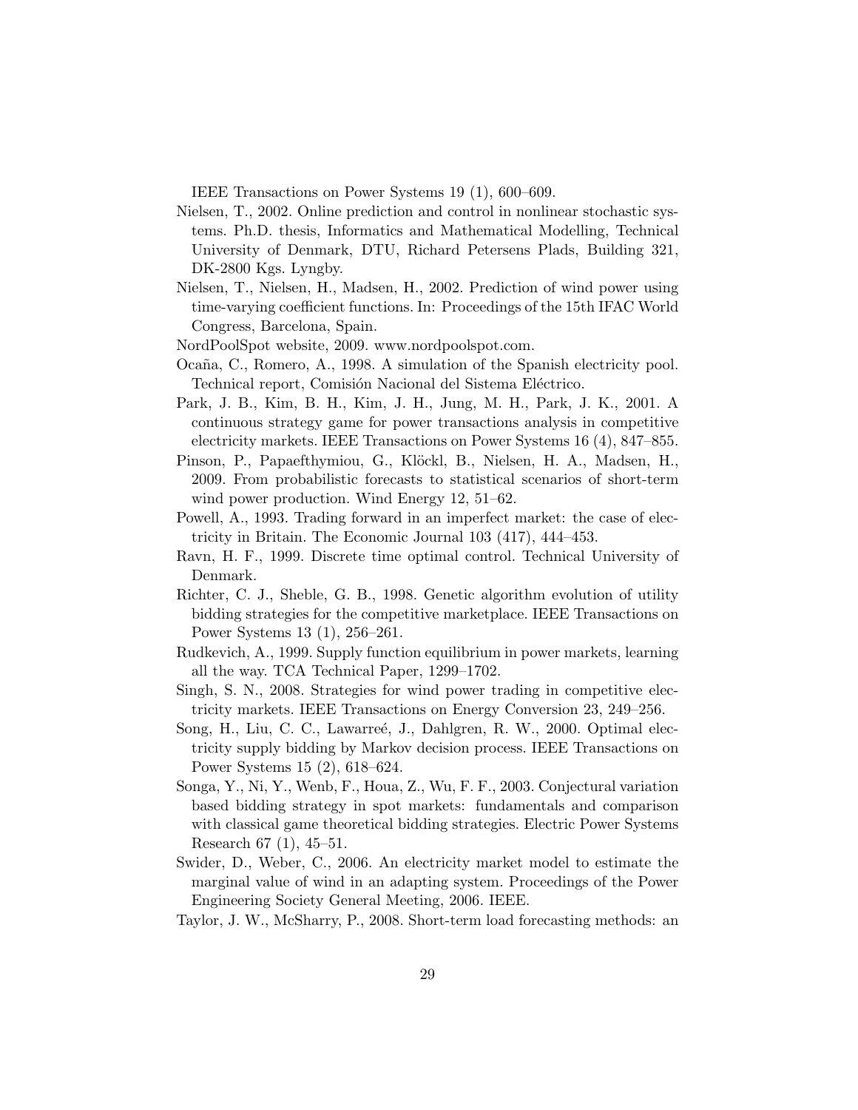IEEE Transactions on Power Systems 19 (1), 600–609.

- Nielsen, T., 2002. Online prediction and control in nonlinear stochastic systems. Ph.D. thesis, Informatics and Mathematical Modelling, Technical University of Denmark, DTU, Richard Petersens Plads, Building 321, DK-2800 Kgs. Lyngby.
- Nielsen, T., Nielsen, H., Madsen, H., 2002. Prediction of wind power using time-varying coefficient functions. In: Proceedings of the 15th IFAC World Congress, Barcelona, Spain.
- NordPoolSpot website, 2009. www.nordpoolspot.com.
- Ocaña, C., Romero, A., 1998. A simulation of the Spanish electricity pool. Technical report, Comisión Nacional del Sistema Eléctrico.
- Park, J. B., Kim, B. H., Kim, J. H., Jung, M. H., Park, J. K., 2001. A continuous strategy game for power transactions analysis in competitive electricity markets. IEEE Transactions on Power Systems 16 (4), 847–855.
- Pinson, P., Papaefthymiou, G., Klöckl, B., Nielsen, H. A., Madsen, H., 2009. From probabilistic forecasts to statistical scenarios of short-term wind power production. Wind Energy 12, 51–62.
- Powell, A., 1993. Trading forward in an imperfect market: the case of electricity in Britain. The Economic Journal 103 (417), 444–453.
- Ravn, H. F., 1999. Discrete time optimal control. Technical University of Denmark.
- Richter, C. J., Sheble, G. B., 1998. Genetic algorithm evolution of utility bidding strategies for the competitive marketplace. IEEE Transactions on Power Systems 13 (1), 256–261.
- Rudkevich, A., 1999. Supply function equilibrium in power markets, learning all the way. TCA Technical Paper, 1299–1702.
- Singh, S. N., 2008. Strategies for wind power trading in competitive electricity markets. IEEE Transactions on Energy Conversion 23, 249–256.
- Song, H., Liu, C. C., Lawarreé, J., Dahlgren, R. W., 2000. Optimal electricity supply bidding by Markov decision process. IEEE Transactions on Power Systems 15 (2), 618–624.
- Songa, Y., Ni, Y., Wenb, F., Houa, Z., Wu, F. F., 2003. Conjectural variation based bidding strategy in spot markets: fundamentals and comparison with classical game theoretical bidding strategies. Electric Power Systems Research 67 (1), 45–51.
- Swider, D., Weber, C., 2006. An electricity market model to estimate the marginal value of wind in an adapting system. Proceedings of the Power Engineering Society General Meeting, 2006. IEEE.
- Taylor, J. W., McSharry, P., 2008. Short-term load forecasting methods: an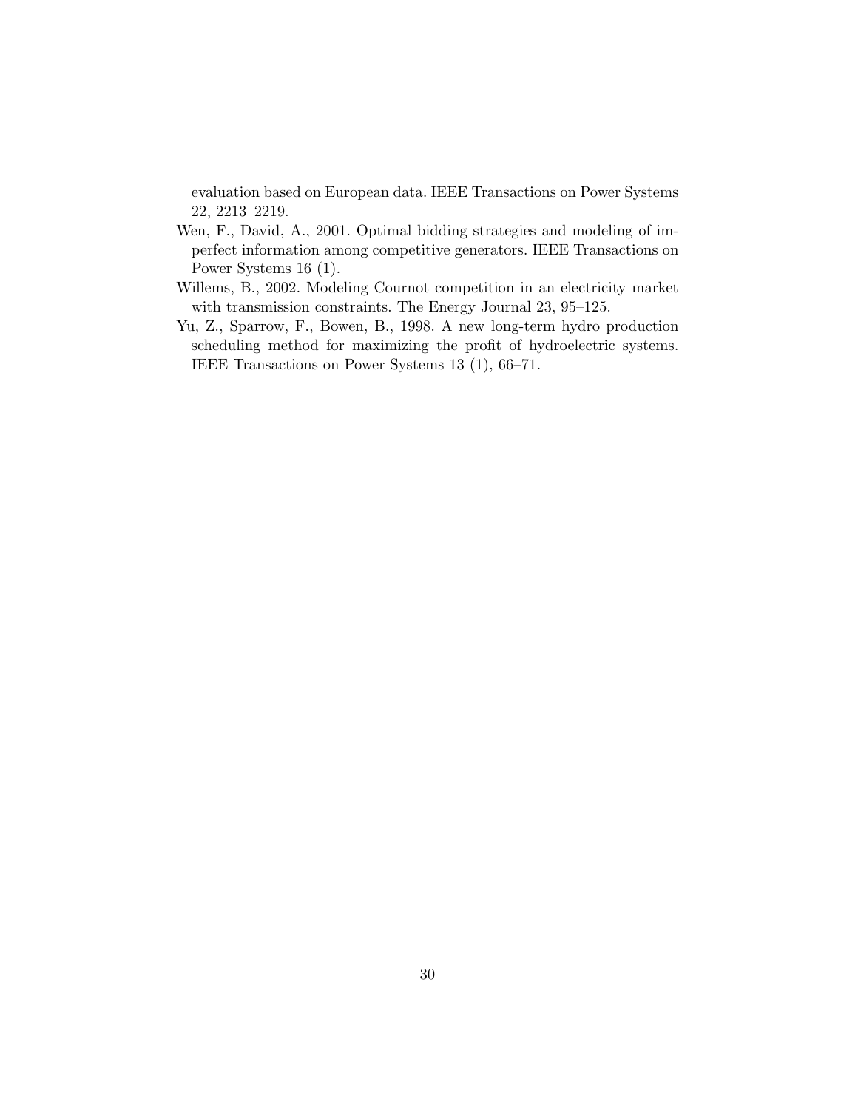evaluation based on European data. IEEE Transactions on Power Systems 22, 2213–2219.

- Wen, F., David, A., 2001. Optimal bidding strategies and modeling of imperfect information among competitive generators. IEEE Transactions on Power Systems 16 (1).
- Willems, B., 2002. Modeling Cournot competition in an electricity market with transmission constraints. The Energy Journal 23, 95–125.
- Yu, Z., Sparrow, F., Bowen, B., 1998. A new long-term hydro production scheduling method for maximizing the profit of hydroelectric systems. IEEE Transactions on Power Systems 13 (1), 66–71.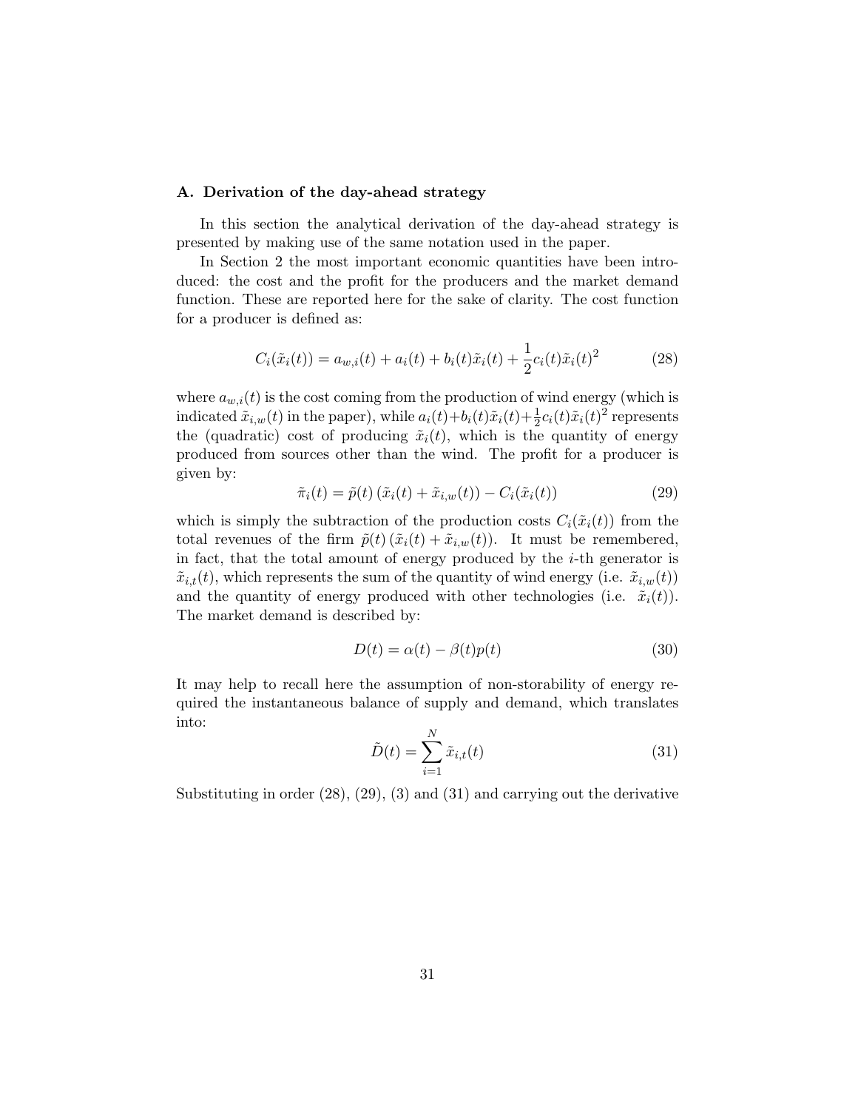## A. Derivation of the day-ahead strategy

In this section the analytical derivation of the day-ahead strategy is presented by making use of the same notation used in the paper.

In Section 2 the most important economic quantities have been introduced: the cost and the profit for the producers and the market demand function. These are reported here for the sake of clarity. The cost function for a producer is defined as:

$$
C_i(\tilde{x}_i(t)) = a_{w,i}(t) + a_i(t) + b_i(t)\tilde{x}_i(t) + \frac{1}{2}c_i(t)\tilde{x}_i(t)^2
$$
 (28)

where  $a_{w,i}(t)$  is the cost coming from the production of wind energy (which is indicated  $\tilde{x}_{i,w}(t)$  in the paper), while  $a_i(t)+b_i(t)\tilde{x}_i(t)+\frac{1}{2}c_i(t)\tilde{x}_i(t)^2$  represents the (quadratic) cost of producing  $\tilde{x}_i(t)$ , which is the quantity of energy produced from sources other than the wind. The profit for a producer is given by:

$$
\tilde{\pi}_i(t) = \tilde{p}(t) \left( \tilde{x}_i(t) + \tilde{x}_{i,w}(t) \right) - C_i(\tilde{x}_i(t)) \tag{29}
$$

which is simply the subtraction of the production costs  $C_i(\tilde{x}_i(t))$  from the total revenues of the firm  $\tilde{p}(t)$   $(\tilde{x}_i(t) + \tilde{x}_{i,w}(t))$ . It must be remembered, in fact, that the total amount of energy produced by the  $i$ -th generator is  $\tilde{x}_{i,t}(t)$ , which represents the sum of the quantity of wind energy (i.e.  $\tilde{x}_{i,w}(t)$ ) and the quantity of energy produced with other technologies (i.e.  $\tilde{x}_i(t)$ ). The market demand is described by:

$$
D(t) = \alpha(t) - \beta(t)p(t)
$$
\n(30)

It may help to recall here the assumption of non-storability of energy required the instantaneous balance of supply and demand, which translates into:

$$
\tilde{D}(t) = \sum_{i=1}^{N} \tilde{x}_{i,t}(t)
$$
\n(31)

Substituting in order (28), (29), (3) and (31) and carrying out the derivative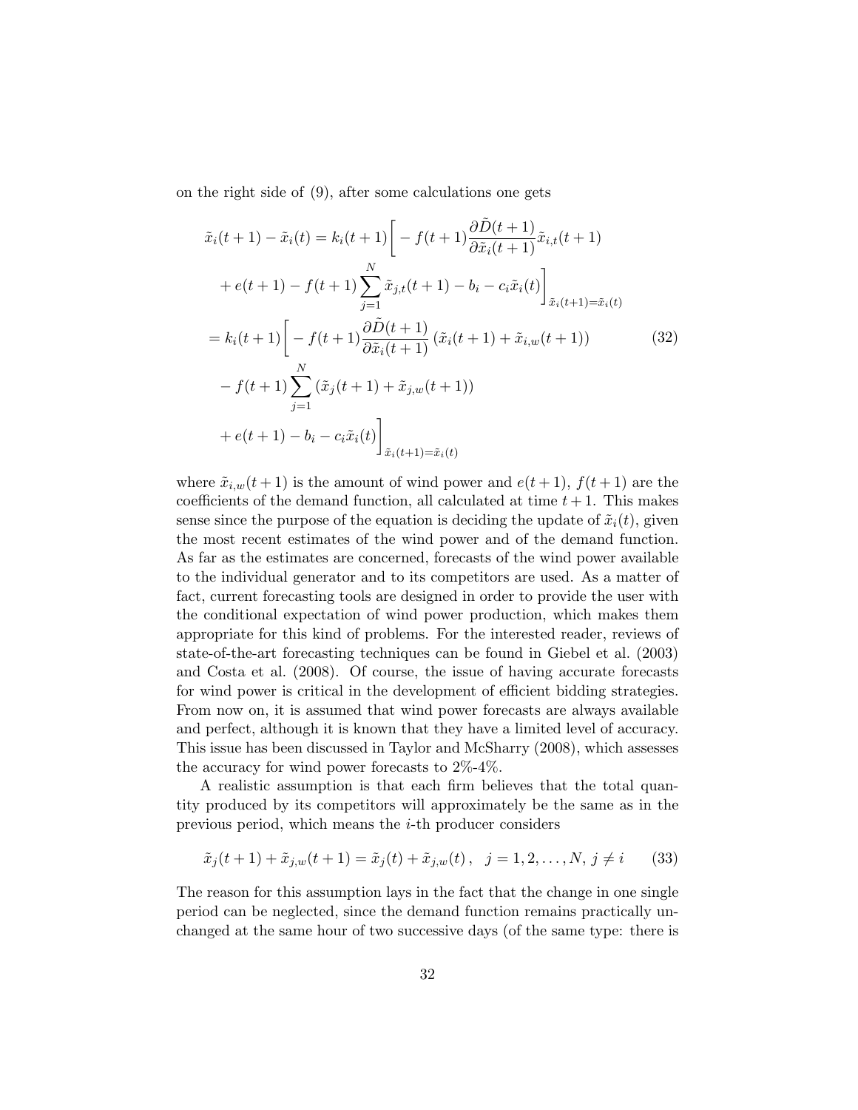on the right side of (9), after some calculations one gets

$$
\tilde{x}_i(t+1) - \tilde{x}_i(t) = k_i(t+1) \left[ -f(t+1) \frac{\partial \tilde{D}(t+1)}{\partial \tilde{x}_i(t+1)} \tilde{x}_{i,t}(t+1) + e(t+1) - f(t+1) \sum_{j=1}^N \tilde{x}_{j,t}(t+1) - b_i - c_i \tilde{x}_i(t) \right] \n= k_i(t+1) \left[ -f(t+1) \frac{\partial \tilde{D}(t+1)}{\partial \tilde{x}_i(t+1)} (\tilde{x}_i(t+1) + \tilde{x}_{i,w}(t+1)) - f(t+1) \sum_{j=1}^N (\tilde{x}_j(t+1) + \tilde{x}_{j,w}(t+1)) + e(t+1) - b_i - c_i \tilde{x}_i(t) \right] \n+ e(t+1) - b_i - c_i \tilde{x}_i(t) \right] \n\tilde{x}_i(t+1) = \tilde{x}_i(t)
$$
\n(32)

where  $\tilde{x}_{i,w}(t+1)$  is the amount of wind power and  $e(t+1)$ ,  $f(t+1)$  are the coefficients of the demand function, all calculated at time  $t + 1$ . This makes sense since the purpose of the equation is deciding the update of  $\tilde{x}_i(t)$ , given the most recent estimates of the wind power and of the demand function. As far as the estimates are concerned, forecasts of the wind power available to the individual generator and to its competitors are used. As a matter of fact, current forecasting tools are designed in order to provide the user with the conditional expectation of wind power production, which makes them appropriate for this kind of problems. For the interested reader, reviews of state-of-the-art forecasting techniques can be found in Giebel et al. (2003) and Costa et al. (2008). Of course, the issue of having accurate forecasts for wind power is critical in the development of efficient bidding strategies. From now on, it is assumed that wind power forecasts are always available and perfect, although it is known that they have a limited level of accuracy. This issue has been discussed in Taylor and McSharry (2008), which assesses the accuracy for wind power forecasts to 2%-4%.

A realistic assumption is that each firm believes that the total quantity produced by its competitors will approximately be the same as in the previous period, which means the i-th producer considers

$$
\tilde{x}_j(t+1) + \tilde{x}_{j,w}(t+1) = \tilde{x}_j(t) + \tilde{x}_{j,w}(t), \quad j = 1, 2, \dots, N, \, j \neq i \qquad (33)
$$

The reason for this assumption lays in the fact that the change in one single period can be neglected, since the demand function remains practically unchanged at the same hour of two successive days (of the same type: there is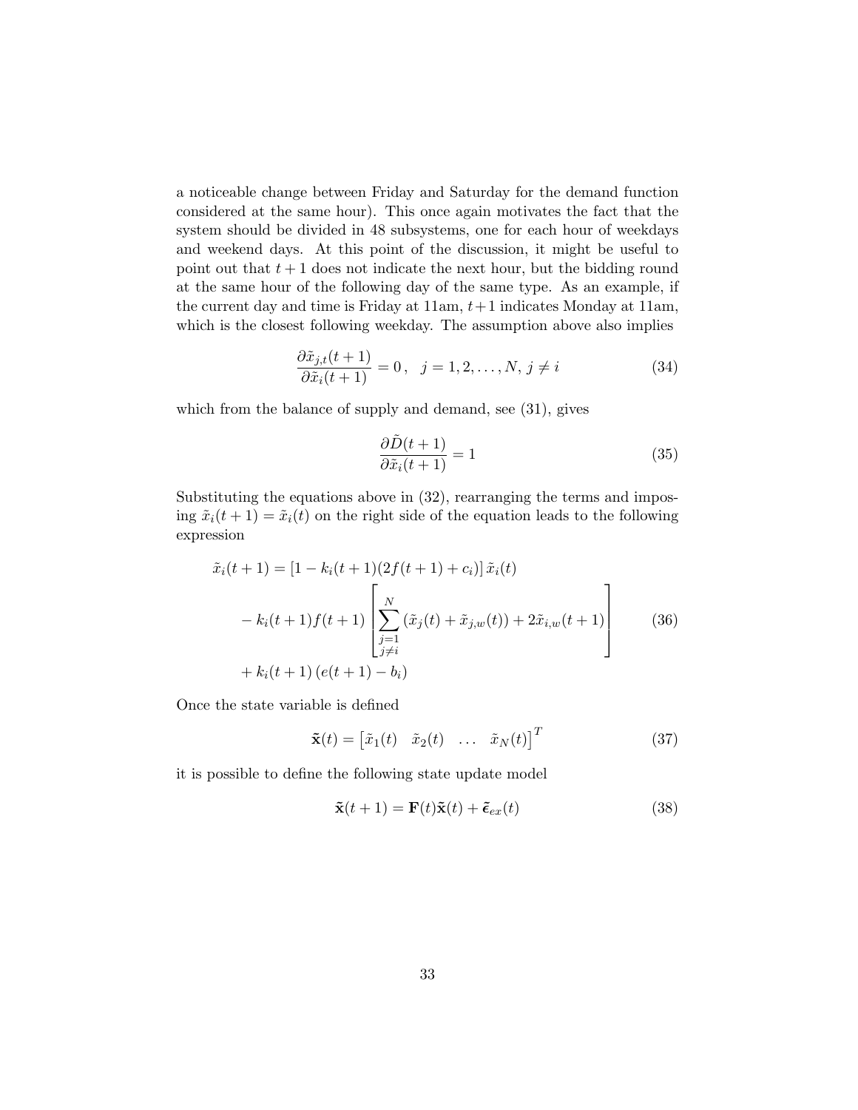a noticeable change between Friday and Saturday for the demand function considered at the same hour). This once again motivates the fact that the system should be divided in 48 subsystems, one for each hour of weekdays and weekend days. At this point of the discussion, it might be useful to point out that  $t + 1$  does not indicate the next hour, but the bidding round at the same hour of the following day of the same type. As an example, if the current day and time is Friday at  $11am, t+1$  indicates Monday at  $11am$ , which is the closest following weekday. The assumption above also implies

$$
\frac{\partial \tilde{x}_{j,t}(t+1)}{\partial \tilde{x}_i(t+1)} = 0, \quad j = 1, 2, \dots, N, \, j \neq i \tag{34}
$$

which from the balance of supply and demand, see  $(31)$ , gives

$$
\frac{\partial \tilde{D}(t+1)}{\partial \tilde{x}_i(t+1)} = 1\tag{35}
$$

Substituting the equations above in (32), rearranging the terms and imposing  $\tilde{x}_i(t+1) = \tilde{x}_i(t)$  on the right side of the equation leads to the following expression

$$
\tilde{x}_i(t+1) = [1 - k_i(t+1)(2f(t+1) + c_i)] \tilde{x}_i(t) \n- k_i(t+1)f(t+1) \left[ \sum_{\substack{j=1 \ j \neq i}}^N (\tilde{x}_j(t) + \tilde{x}_{j,w}(t)) + 2\tilde{x}_{i,w}(t+1) \right] \tag{36}
$$
\n
$$
+ k_i(t+1) (e(t+1) - b_i)
$$

Once the state variable is defined

$$
\tilde{\mathbf{x}}(t) = \begin{bmatrix} \tilde{x}_1(t) & \tilde{x}_2(t) & \dots & \tilde{x}_N(t) \end{bmatrix}^T
$$
 (37)

it is possible to define the following state update model

$$
\tilde{\mathbf{x}}(t+1) = \mathbf{F}(t)\tilde{\mathbf{x}}(t) + \tilde{\epsilon}_{ex}(t)
$$
\n(38)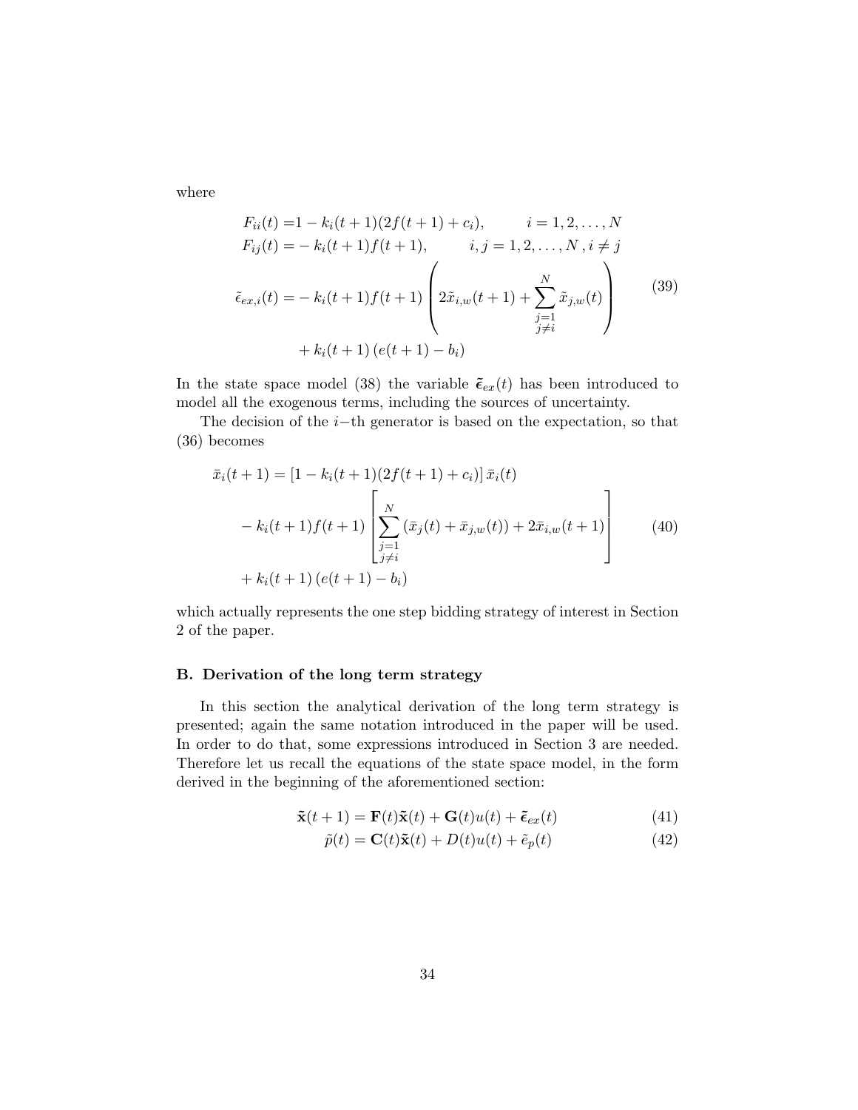where

$$
F_{ii}(t) = 1 - k_i(t+1)(2f(t+1) + c_i), \qquad i = 1, 2, ..., N
$$
  
\n
$$
F_{ij}(t) = -k_i(t+1)f(t+1), \qquad i, j = 1, 2, ..., N, i \neq j
$$
  
\n
$$
\tilde{\epsilon}_{ex,i}(t) = -k_i(t+1)f(t+1) \left(2\tilde{x}_{i,w}(t+1) + \sum_{\substack{j=1 \ j \neq i}}^N \tilde{x}_{j,w}(t)\right)
$$
(39)  
\n
$$
+ k_i(t+1) (e(t+1) - b_i)
$$

In the state space model (38) the variable  $\tilde{\epsilon}_{ex}(t)$  has been introduced to model all the exogenous terms, including the sources of uncertainty.

The decision of the  $i$ −th generator is based on the expectation, so that (36) becomes

$$
\bar{x}_i(t+1) = [1 - k_i(t+1)(2f(t+1) + c_i)] \bar{x}_i(t)
$$
  
\n
$$
- k_i(t+1)f(t+1) \left[ \sum_{\substack{j=1 \ j \neq i}}^N (\bar{x}_j(t) + \bar{x}_{j,w}(t)) + 2\bar{x}_{i,w}(t+1) \right]
$$
(40)  
\n
$$
+ k_i(t+1) (e(t+1) - b_i)
$$

which actually represents the one step bidding strategy of interest in Section 2 of the paper.

## B. Derivation of the long term strategy

In this section the analytical derivation of the long term strategy is presented; again the same notation introduced in the paper will be used. In order to do that, some expressions introduced in Section 3 are needed. Therefore let us recall the equations of the state space model, in the form derived in the beginning of the aforementioned section:

$$
\tilde{\mathbf{x}}(t+1) = \mathbf{F}(t)\tilde{\mathbf{x}}(t) + \mathbf{G}(t)u(t) + \tilde{\epsilon}_{ex}(t)
$$
\n(41)

$$
\tilde{p}(t) = \mathbf{C}(t)\tilde{\mathbf{x}}(t) + D(t)u(t) + \tilde{e}_p(t)
$$
\n(42)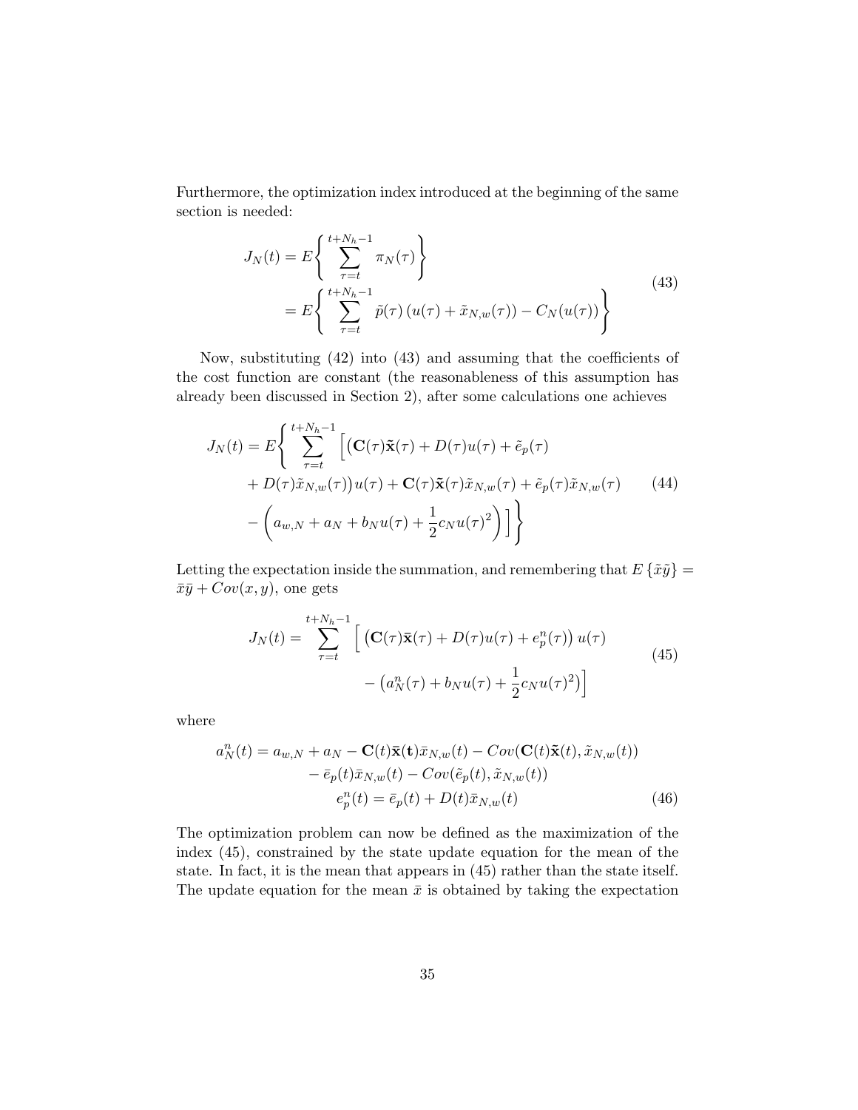Furthermore, the optimization index introduced at the beginning of the same section is needed:

$$
J_N(t) = E\left\{\sum_{\tau=t}^{t+N_h-1} \pi_N(\tau)\right\}
$$
  
= 
$$
E\left\{\sum_{\tau=t}^{t+N_h-1} \tilde{p}(\tau) (u(\tau) + \tilde{x}_{N,w}(\tau)) - C_N(u(\tau))\right\}
$$
 (43)

Now, substituting (42) into (43) and assuming that the coefficients of the cost function are constant (the reasonableness of this assumption has already been discussed in Section 2), after some calculations one achieves

$$
J_N(t) = E \Bigg\{ \sum_{\tau=t}^{t+N_h-1} \Big[ \big( \mathbf{C}(\tau) \tilde{\mathbf{x}}(\tau) + D(\tau) u(\tau) + \tilde{e}_p(\tau) + D(\tau) \tilde{x}_{N,w}(\tau) \big) u(\tau) + \mathbf{C}(\tau) \tilde{\mathbf{x}}(\tau) \tilde{x}_{N,w}(\tau) + \tilde{e}_p(\tau) \tilde{x}_{N,w}(\tau) \Bigg) - \Big( a_{w,N} + a_N + b_N u(\tau) + \frac{1}{2} c_N u(\tau)^2 \Big) \Big] \Bigg\}
$$
(44)

Letting the expectation inside the summation, and remembering that  $E\{\tilde{x}\tilde{y}\}$  =  $\bar{x}\bar{y}$  +  $Cov(x, y)$ , one gets

$$
J_N(t) = \sum_{\tau=t}^{t+N_h-1} \left[ \left( \mathbf{C}(\tau) \bar{\mathbf{x}}(\tau) + D(\tau) u(\tau) + e_p^n(\tau) \right) u(\tau) - \left( a_N^n(\tau) + b_N u(\tau) + \frac{1}{2} c_N u(\tau)^2 \right) \right]
$$
(45)

where

$$
a_N^n(t) = a_{w,N} + a_N - \mathbf{C}(t)\bar{\mathbf{x}}(\mathbf{t})\bar{x}_{N,w}(t) - Cov(\mathbf{C}(t)\tilde{\mathbf{x}}(t), \tilde{x}_{N,w}(t))
$$

$$
- \bar{e}_p(t)\bar{x}_{N,w}(t) - Cov(\tilde{e}_p(t), \tilde{x}_{N,w}(t))
$$

$$
e_p^n(t) = \bar{e}_p(t) + D(t)\bar{x}_{N,w}(t)
$$
(46)

The optimization problem can now be defined as the maximization of the index (45), constrained by the state update equation for the mean of the state. In fact, it is the mean that appears in (45) rather than the state itself. The update equation for the mean  $\bar{x}$  is obtained by taking the expectation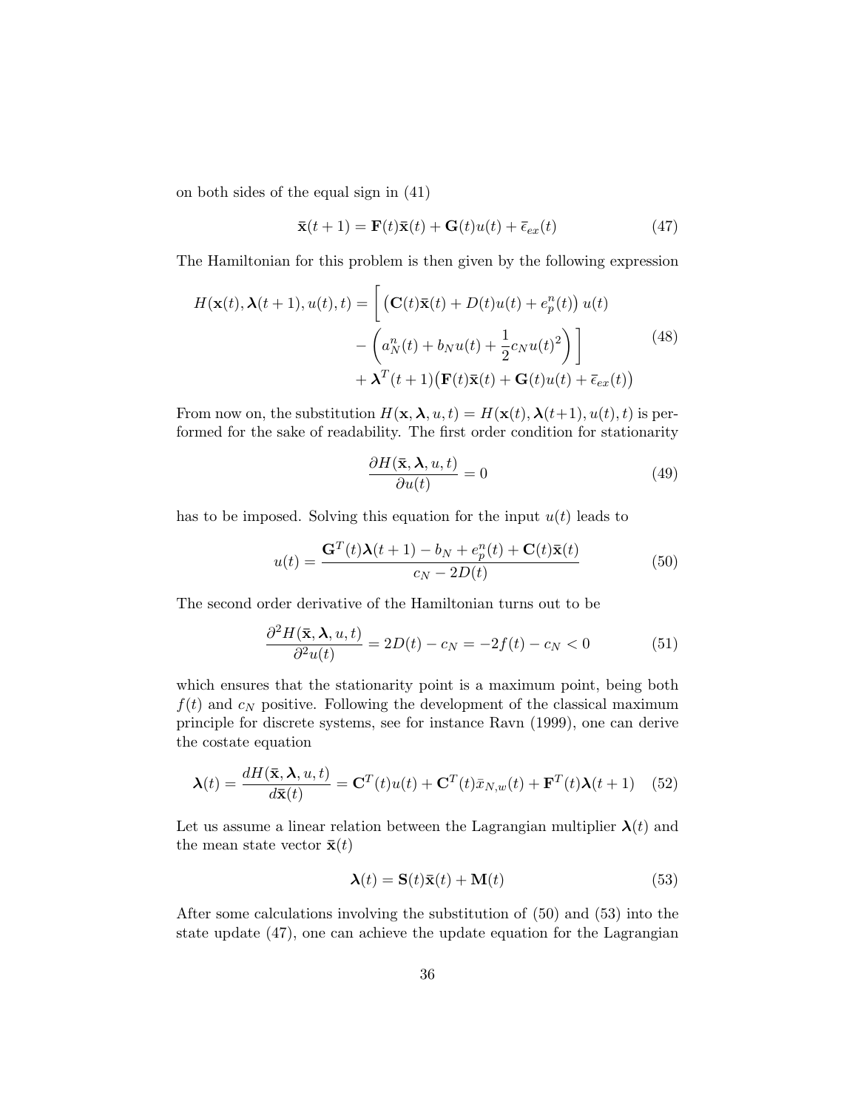on both sides of the equal sign in (41)

$$
\overline{\mathbf{x}}(t+1) = \mathbf{F}(t)\overline{\mathbf{x}}(t) + \mathbf{G}(t)u(t) + \overline{\epsilon}_{ex}(t)
$$
\n(47)

The Hamiltonian for this problem is then given by the following expression

$$
H(\mathbf{x}(t), \lambda(t+1), u(t), t) = \left[ \left( \mathbf{C}(t)\bar{\mathbf{x}}(t) + D(t)u(t) + e_p^n(t) \right)u(t) - \left( a_N^n(t) + b_N u(t) + \frac{1}{2}c_N u(t)^2 \right) \right]
$$
(48)  
+  $\lambda^T(t+1) \left( \mathbf{F}(t)\bar{\mathbf{x}}(t) + \mathbf{G}(t)u(t) + \bar{\epsilon}_{ex}(t) \right)$ 

From now on, the substitution  $H(\mathbf{x}, \boldsymbol{\lambda}, u, t) = H(\mathbf{x}(t), \boldsymbol{\lambda}(t+1), u(t), t)$  is performed for the sake of readability. The first order condition for stationarity

$$
\frac{\partial H(\bar{\mathbf{x}}, \mathbf{\lambda}, u, t)}{\partial u(t)} = 0
$$
\n(49)

has to be imposed. Solving this equation for the input  $u(t)$  leads to

$$
u(t) = \frac{\mathbf{G}^{T}(t)\mathbf{\lambda}(t+1) - b_{N} + e_{p}^{n}(t) + \mathbf{C}(t)\bar{\mathbf{x}}(t)}{c_{N} - 2D(t)}
$$
(50)

The second order derivative of the Hamiltonian turns out to be

$$
\frac{\partial^2 H(\bar{\mathbf{x}}, \mathbf{\lambda}, u, t)}{\partial^2 u(t)} = 2D(t) - c_N = -2f(t) - c_N < 0 \tag{51}
$$

which ensures that the stationarity point is a maximum point, being both  $f(t)$  and  $c_N$  positive. Following the development of the classical maximum principle for discrete systems, see for instance Ravn (1999), one can derive the costate equation

$$
\mathbf{\lambda}(t) = \frac{dH(\bar{\mathbf{x}}, \mathbf{\lambda}, u, t)}{d\bar{\mathbf{x}}(t)} = \mathbf{C}^{T}(t)u(t) + \mathbf{C}^{T}(t)\bar{x}_{N,w}(t) + \mathbf{F}^{T}(t)\mathbf{\lambda}(t+1)
$$
(52)

Let us assume a linear relation between the Lagrangian multiplier  $\lambda(t)$  and the mean state vector  $\bar{\mathbf{x}}(t)$ 

$$
\mathbf{\lambda}(t) = \mathbf{S}(t)\bar{\mathbf{x}}(t) + \mathbf{M}(t) \tag{53}
$$

After some calculations involving the substitution of (50) and (53) into the state update (47), one can achieve the update equation for the Lagrangian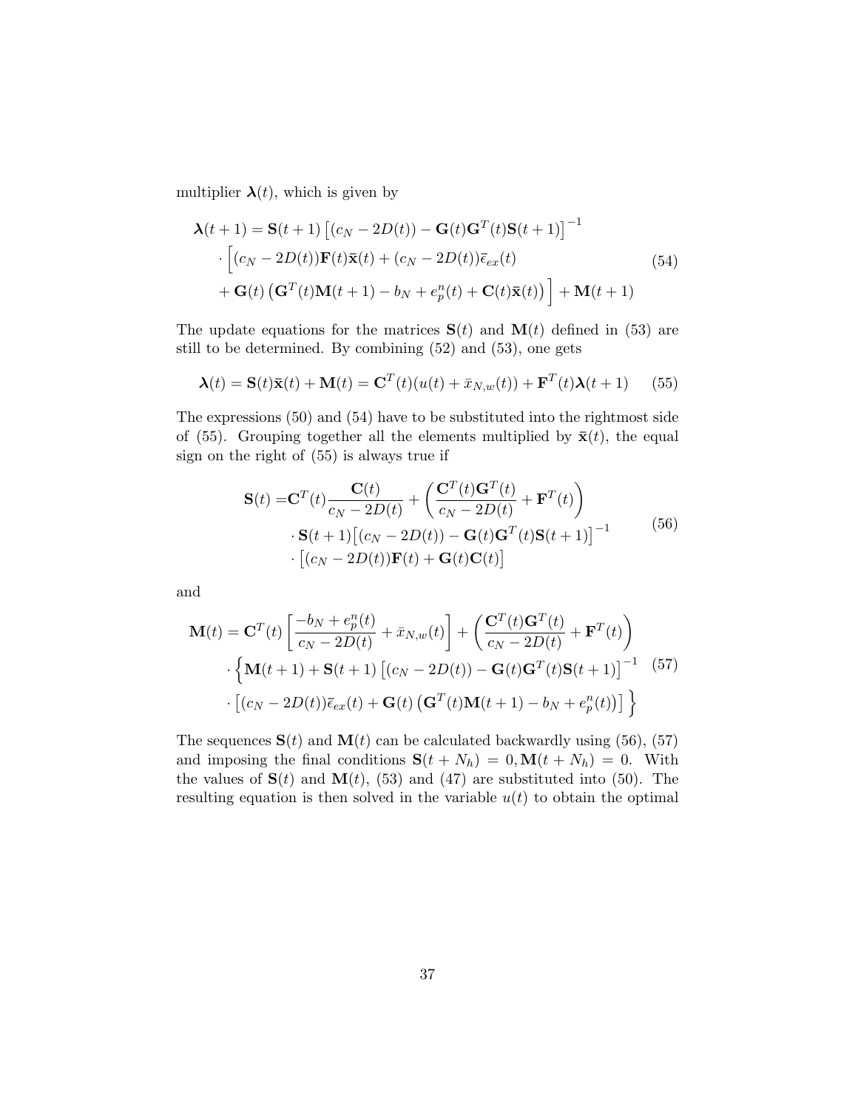multiplier  $\lambda(t)$ , which is given by

$$
\mathbf{\lambda}(t+1) = \mathbf{S}(t+1) \left[ (c_N - 2D(t)) - \mathbf{G}(t) \mathbf{G}^T(t) \mathbf{S}(t+1) \right]^{-1}
$$

$$
\cdot \left[ (c_N - 2D(t)) \mathbf{F}(t) \overline{\mathbf{x}}(t) + (c_N - 2D(t)) \overline{\epsilon}_{ex}(t) + \mathbf{G}(t) \left( \mathbf{G}^T(t) \mathbf{M}(t+1) - b_N + e_p^n(t) + \mathbf{C}(t) \overline{\mathbf{x}}(t) \right) \right] + \mathbf{M}(t+1)
$$
(54)

The update equations for the matrices  $S(t)$  and  $M(t)$  defined in (53) are still to be determined. By combining (52) and (53), one gets

$$
\mathbf{\lambda}(t) = \mathbf{S}(t)\bar{\mathbf{x}}(t) + \mathbf{M}(t) = \mathbf{C}^T(t)(u(t) + \bar{x}_{N,w}(t)) + \mathbf{F}^T(t)\mathbf{\lambda}(t+1)
$$
(55)

The expressions (50) and (54) have to be substituted into the rightmost side of (55). Grouping together all the elements multiplied by  $\bar{\mathbf{x}}(t)$ , the equal sign on the right of (55) is always true if

$$
\mathbf{S}(t) = \mathbf{C}^{T}(t) \frac{\mathbf{C}(t)}{c_N - 2D(t)} + \left(\frac{\mathbf{C}^{T}(t)\mathbf{G}^{T}(t)}{c_N - 2D(t)} + \mathbf{F}^{T}(t)\right) \cdot \mathbf{S}(t+1) [(c_N - 2D(t)) - \mathbf{G}(t)\mathbf{G}^{T}(t)\mathbf{S}(t+1)]^{-1} \qquad (56) \cdot [(c_N - 2D(t))\mathbf{F}(t) + \mathbf{G}(t)\mathbf{C}(t)]
$$

and

$$
\mathbf{M}(t) = \mathbf{C}^{T}(t) \left[ \frac{-b_{N} + e_{p}^{n}(t)}{c_{N} - 2D(t)} + \bar{x}_{N,w}(t) \right] + \left( \frac{\mathbf{C}^{T}(t)\mathbf{G}^{T}(t)}{c_{N} - 2D(t)} + \mathbf{F}^{T}(t) \right)
$$

$$
\cdot \left\{ \mathbf{M}(t+1) + \mathbf{S}(t+1) \left[ (c_{N} - 2D(t)) - \mathbf{G}(t)\mathbf{G}^{T}(t)\mathbf{S}(t+1) \right]^{-1} (57)
$$

$$
\cdot \left[ (c_{N} - 2D(t))\bar{\epsilon}_{ex}(t) + \mathbf{G}(t) \left( \mathbf{G}^{T}(t)\mathbf{M}(t+1) - b_{N} + e_{p}^{n}(t) \right) \right] \right\}
$$

The sequences  $S(t)$  and  $M(t)$  can be calculated backwardly using (56), (57) and imposing the final conditions  $\mathbf{S}(t + N_h) = 0, \mathbf{M}(t + N_h) = 0$ . With the values of  $S(t)$  and  $M(t)$ , (53) and (47) are substituted into (50). The resulting equation is then solved in the variable  $u(t)$  to obtain the optimal